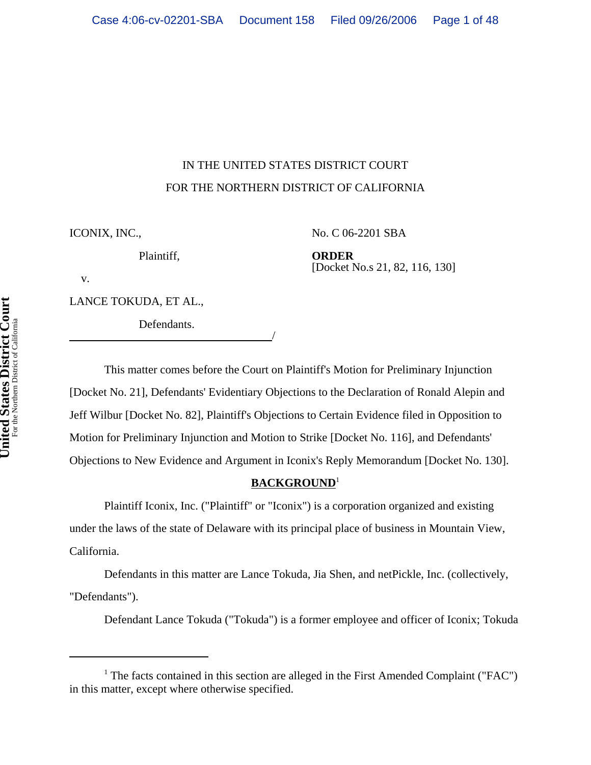# IN THE UNITED STATES DISTRICT COURT FOR THE NORTHERN DISTRICT OF CALIFORNIA

ICONIX, INC.,

No. C 06-2201 SBA

Plaintiff,

**ORDER** [Docket No.s 21, 82, 116, 130]

v.

LANCE TOKUDA, ET AL.,

Defendants.

This matter comes before the Court on Plaintiff's Motion for Preliminary Injunction [Docket No. 21], Defendants' Evidentiary Objections to the Declaration of Ronald Alepin and Jeff Wilbur [Docket No. 82], Plaintiff's Objections to Certain Evidence filed in Opposition to Motion for Preliminary Injunction and Motion to Strike [Docket No. 116], and Defendants' Objections to New Evidence and Argument in Iconix's Reply Memorandum [Docket No. 130].

## **BACKGROUND**<sup>1</sup>

Plaintiff Iconix, Inc. ("Plaintiff" or "Iconix") is a corporation organized and existing under the laws of the state of Delaware with its principal place of business in Mountain View, California.

Defendants in this matter are Lance Tokuda, Jia Shen, and netPickle, Inc. (collectively, "Defendants").

Defendant Lance Tokuda ("Tokuda") is a former employee and officer of Iconix; Tokuda

<sup>&</sup>lt;sup>1</sup> The facts contained in this section are alleged in the First Amended Complaint ("FAC") in this matter, except where otherwise specified.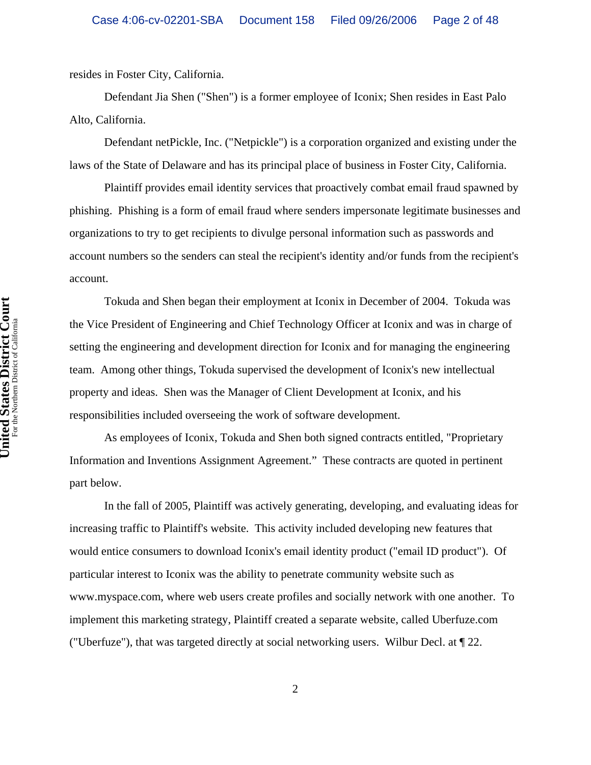resides in Foster City, California.

Defendant Jia Shen ("Shen") is a former employee of Iconix; Shen resides in East Palo Alto, California.

Defendant netPickle, Inc. ("Netpickle") is a corporation organized and existing under the laws of the State of Delaware and has its principal place of business in Foster City, California.

Plaintiff provides email identity services that proactively combat email fraud spawned by phishing. Phishing is a form of email fraud where senders impersonate legitimate businesses and organizations to try to get recipients to divulge personal information such as passwords and account numbers so the senders can steal the recipient's identity and/or funds from the recipient's account.

Tokuda and Shen began their employment at Iconix in December of 2004. Tokuda was the Vice President of Engineering and Chief Technology Officer at Iconix and was in charge of setting the engineering and development direction for Iconix and for managing the engineering team. Among other things, Tokuda supervised the development of Iconix's new intellectual property and ideas. Shen was the Manager of Client Development at Iconix, and his responsibilities included overseeing the work of software development.

As employees of Iconix, Tokuda and Shen both signed contracts entitled, "Proprietary Information and Inventions Assignment Agreement." These contracts are quoted in pertinent part below.

In the fall of 2005, Plaintiff was actively generating, developing, and evaluating ideas for increasing traffic to Plaintiff's website. This activity included developing new features that would entice consumers to download Iconix's email identity product ("email ID product"). Of particular interest to Iconix was the ability to penetrate community website such as www.myspace.com, where web users create profiles and socially network with one another. To implement this marketing strategy, Plaintiff created a separate website, called Uberfuze.com ("Uberfuze"), that was targeted directly at social networking users. Wilbur Decl. at ¶ 22.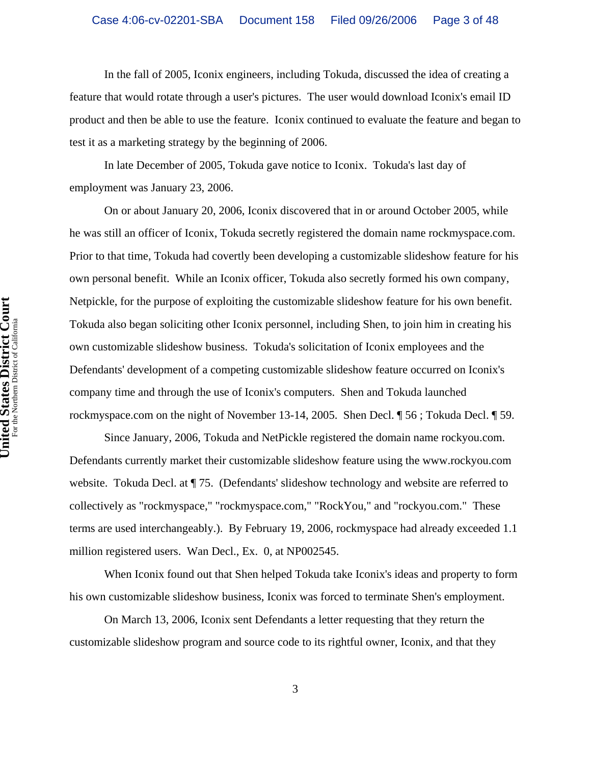In the fall of 2005, Iconix engineers, including Tokuda, discussed the idea of creating a feature that would rotate through a user's pictures. The user would download Iconix's email ID product and then be able to use the feature. Iconix continued to evaluate the feature and began to test it as a marketing strategy by the beginning of 2006.

In late December of 2005, Tokuda gave notice to Iconix. Tokuda's last day of employment was January 23, 2006.

On or about January 20, 2006, Iconix discovered that in or around October 2005, while he was still an officer of Iconix, Tokuda secretly registered the domain name rockmyspace.com. Prior to that time, Tokuda had covertly been developing a customizable slideshow feature for his own personal benefit. While an Iconix officer, Tokuda also secretly formed his own company, Netpickle, for the purpose of exploiting the customizable slideshow feature for his own benefit. Tokuda also began soliciting other Iconix personnel, including Shen, to join him in creating his own customizable slideshow business. Tokuda's solicitation of Iconix employees and the Defendants' development of a competing customizable slideshow feature occurred on Iconix's company time and through the use of Iconix's computers. Shen and Tokuda launched rockmyspace.com on the night of November 13-14, 2005. Shen Decl. ¶ 56 ; Tokuda Decl. ¶ 59.

Since January, 2006, Tokuda and NetPickle registered the domain name rockyou.com. Defendants currently market their customizable slideshow feature using the www.rockyou.com website. Tokuda Decl. at ¶ 75. (Defendants' slideshow technology and website are referred to collectively as "rockmyspace," "rockmyspace.com," "RockYou," and "rockyou.com." These terms are used interchangeably.). By February 19, 2006, rockmyspace had already exceeded 1.1 million registered users. Wan Decl., Ex. 0, at NP002545.

When Iconix found out that Shen helped Tokuda take Iconix's ideas and property to form his own customizable slideshow business, Iconix was forced to terminate Shen's employment.

On March 13, 2006, Iconix sent Defendants a letter requesting that they return the customizable slideshow program and source code to its rightful owner, Iconix, and that they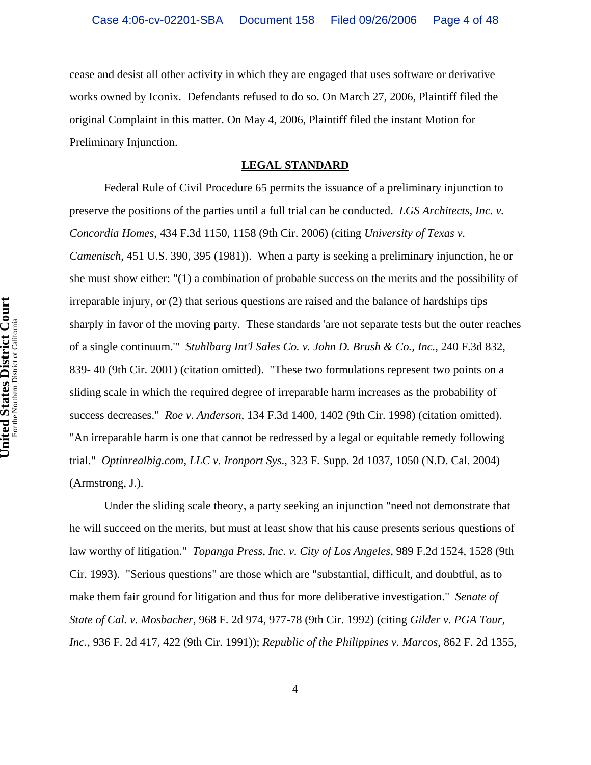cease and desist all other activity in which they are engaged that uses software or derivative works owned by Iconix. Defendants refused to do so. On March 27, 2006, Plaintiff filed the original Complaint in this matter. On May 4, 2006, Plaintiff filed the instant Motion for Preliminary Injunction.

### **LEGAL STANDARD**

Federal Rule of Civil Procedure 65 permits the issuance of a preliminary injunction to preserve the positions of the parties until a full trial can be conducted. *LGS Architects, Inc. v. Concordia Homes*, 434 F.3d 1150, 1158 (9th Cir. 2006) (citing *University of Texas v. Camenisch*, 451 U.S. 390, 395 (1981)). When a party is seeking a preliminary injunction, he or she must show either: "(1) a combination of probable success on the merits and the possibility of irreparable injury, or (2) that serious questions are raised and the balance of hardships tips sharply in favor of the moving party. These standards 'are not separate tests but the outer reaches of a single continuum.'" *Stuhlbarg Int'l Sales Co. v. John D. Brush & Co., Inc.*, 240 F.3d 832, 839- 40 (9th Cir. 2001) (citation omitted). "These two formulations represent two points on a sliding scale in which the required degree of irreparable harm increases as the probability of success decreases." *Roe v. Anderson*, 134 F.3d 1400, 1402 (9th Cir. 1998) (citation omitted). "An irreparable harm is one that cannot be redressed by a legal or equitable remedy following trial." *Optinrealbig.com, LLC v. Ironport Sys*., 323 F. Supp. 2d 1037, 1050 (N.D. Cal. 2004) (Armstrong, J.).

Under the sliding scale theory, a party seeking an injunction "need not demonstrate that he will succeed on the merits, but must at least show that his cause presents serious questions of law worthy of litigation." *Topanga Press, Inc. v. City of Los Angeles*, 989 F.2d 1524, 1528 (9th Cir. 1993). "Serious questions" are those which are "substantial, difficult, and doubtful, as to make them fair ground for litigation and thus for more deliberative investigation." *Senate of State of Cal. v. Mosbacher*, 968 F. 2d 974, 977-78 (9th Cir. 1992) (citing *Gilder v. PGA Tour, Inc.*, 936 F. 2d 417, 422 (9th Cir. 1991)); *Republic of the Philippines v. Marcos*, 862 F. 2d 1355,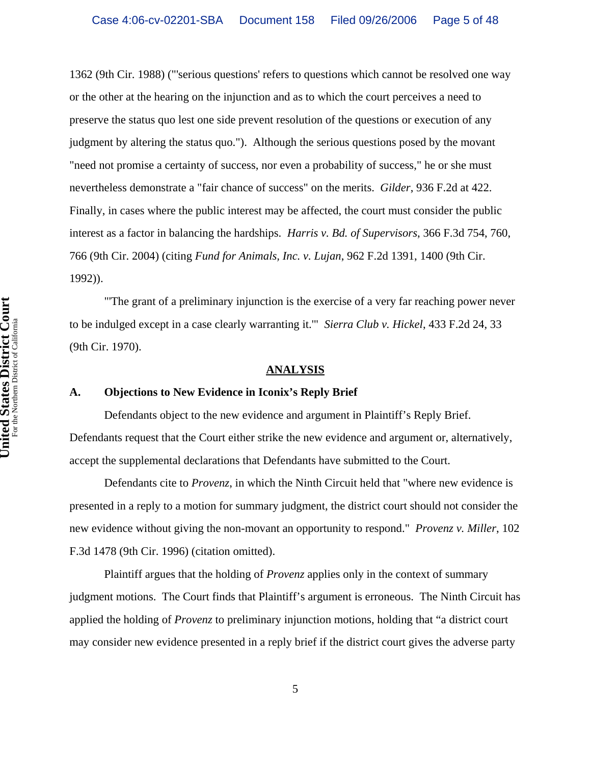1362 (9th Cir. 1988) ("'serious questions' refers to questions which cannot be resolved one way or the other at the hearing on the injunction and as to which the court perceives a need to preserve the status quo lest one side prevent resolution of the questions or execution of any judgment by altering the status quo."). Although the serious questions posed by the movant "need not promise a certainty of success, nor even a probability of success," he or she must nevertheless demonstrate a "fair chance of success" on the merits. *Gilder*, 936 F.2d at 422. Finally, in cases where the public interest may be affected, the court must consider the public interest as a factor in balancing the hardships. *Harris v. Bd. of Supervisors*, 366 F.3d 754, 760, 766 (9th Cir. 2004) (citing *Fund for Animals, Inc. v. Lujan*, 962 F.2d 1391, 1400 (9th Cir. 1992)).

"'The grant of a preliminary injunction is the exercise of a very far reaching power never to be indulged except in a case clearly warranting it.'" *Sierra Club v. Hickel*, 433 F.2d 24, 33 (9th Cir. 1970).

#### **ANALYSIS**

#### **A. Objections to New Evidence in Iconix's Reply Brief**

Defendants object to the new evidence and argument in Plaintiff's Reply Brief. Defendants request that the Court either strike the new evidence and argument or, alternatively, accept the supplemental declarations that Defendants have submitted to the Court.

Defendants cite to *Provenz*, in which the Ninth Circuit held that "where new evidence is presented in a reply to a motion for summary judgment, the district court should not consider the new evidence without giving the non-movant an opportunity to respond." *Provenz v. Miller*, 102 F.3d 1478 (9th Cir. 1996) (citation omitted).

Plaintiff argues that the holding of *Provenz* applies only in the context of summary judgment motions. The Court finds that Plaintiff's argument is erroneous. The Ninth Circuit has applied the holding of *Provenz* to preliminary injunction motions, holding that "a district court may consider new evidence presented in a reply brief if the district court gives the adverse party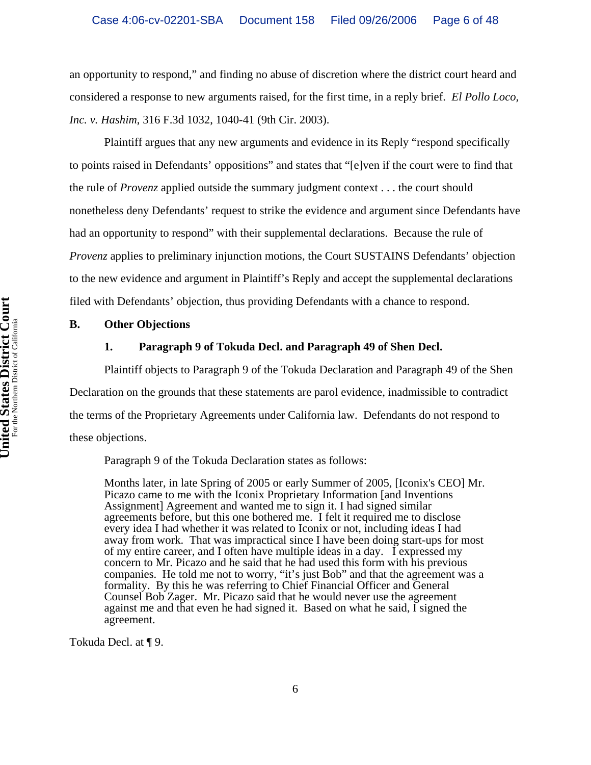an opportunity to respond," and finding no abuse of discretion where the district court heard and considered a response to new arguments raised, for the first time, in a reply brief. *El Pollo Loco, Inc. v. Hashim*, 316 F.3d 1032, 1040-41 (9th Cir. 2003).

Plaintiff argues that any new arguments and evidence in its Reply "respond specifically to points raised in Defendants' oppositions" and states that "[e]ven if the court were to find that the rule of *Provenz* applied outside the summary judgment context . . . the court should nonetheless deny Defendants' request to strike the evidence and argument since Defendants have had an opportunity to respond" with their supplemental declarations. Because the rule of *Provenz* applies to preliminary injunction motions, the Court SUSTAINS Defendants' objection to the new evidence and argument in Plaintiff's Reply and accept the supplemental declarations filed with Defendants' objection, thus providing Defendants with a chance to respond.

## **B. Other Objections**

## **1. Paragraph 9 of Tokuda Decl. and Paragraph 49 of Shen Decl.**

Plaintiff objects to Paragraph 9 of the Tokuda Declaration and Paragraph 49 of the Shen Declaration on the grounds that these statements are parol evidence, inadmissible to contradict the terms of the Proprietary Agreements under California law. Defendants do not respond to these objections.

Paragraph 9 of the Tokuda Declaration states as follows:

Months later, in late Spring of 2005 or early Summer of 2005, [Iconix's CEO] Mr. Picazo came to me with the Iconix Proprietary Information [and Inventions Assignment] Agreement and wanted me to sign it. I had signed similar agreements before, but this one bothered me. I felt it required me to disclose every idea I had whether it was related to Iconix or not, including ideas I had away from work. That was impractical since I have been doing start-ups for most of my entire career, and I often have multiple ideas in a day. I expressed my concern to Mr. Picazo and he said that he had used this form with his previous companies. He told me not to worry, "it's just Bob" and that the agreement was a formality. By this he was referring to Chief Financial Officer and General Counsel Bob Zager. Mr. Picazo said that he would never use the agreement against me and that even he had signed it. Based on what he said, I signed the agreement.

Tokuda Decl. at ¶ 9.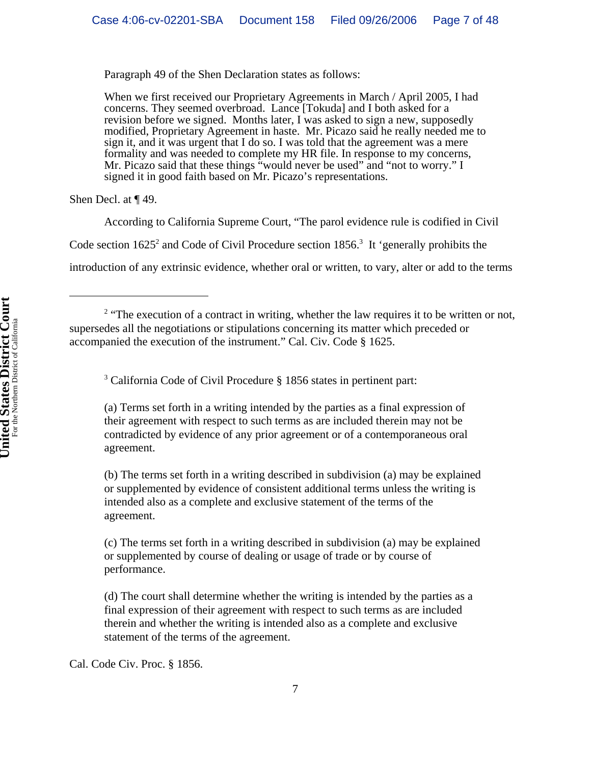Paragraph 49 of the Shen Declaration states as follows:

When we first received our Proprietary Agreements in March / April 2005, I had concerns. They seemed overbroad. Lance [Tokuda] and I both asked for a revision before we signed. Months later, I was asked to sign a new, supposedly modified, Proprietary Agreement in haste. Mr. Picazo said he really needed me to sign it, and it was urgent that I do so. I was told that the agreement was a mere formality and was needed to complete my HR file. In response to my concerns, Mr. Picazo said that these things "would never be used" and "not to worry." I signed it in good faith based on Mr. Picazo's representations.

Shen Decl. at ¶ 49.

According to California Supreme Court, "The parol evidence rule is codified in Civil

Code section  $1625^2$  and Code of Civil Procedure section  $1856$ <sup>3</sup>. It 'generally prohibits the

introduction of any extrinsic evidence, whether oral or written, to vary, alter or add to the terms

<sup>3</sup> California Code of Civil Procedure § 1856 states in pertinent part:

(a) Terms set forth in a writing intended by the parties as a final expression of their agreement with respect to such terms as are included therein may not be contradicted by evidence of any prior agreement or of a contemporaneous oral agreement.

(b) The terms set forth in a writing described in subdivision (a) may be explained or supplemented by evidence of consistent additional terms unless the writing is intended also as a complete and exclusive statement of the terms of the agreement.

(c) The terms set forth in a writing described in subdivision (a) may be explained or supplemented by course of dealing or usage of trade or by course of performance.

(d) The court shall determine whether the writing is intended by the parties as a final expression of their agreement with respect to such terms as are included therein and whether the writing is intended also as a complete and exclusive statement of the terms of the agreement.

Cal. Code Civ. Proc. § 1856.

<sup>&</sup>lt;sup>2</sup> "The execution of a contract in writing, whether the law requires it to be written or not, supersedes all the negotiations or stipulations concerning its matter which preceded or accompanied the execution of the instrument." Cal. Civ. Code § 1625.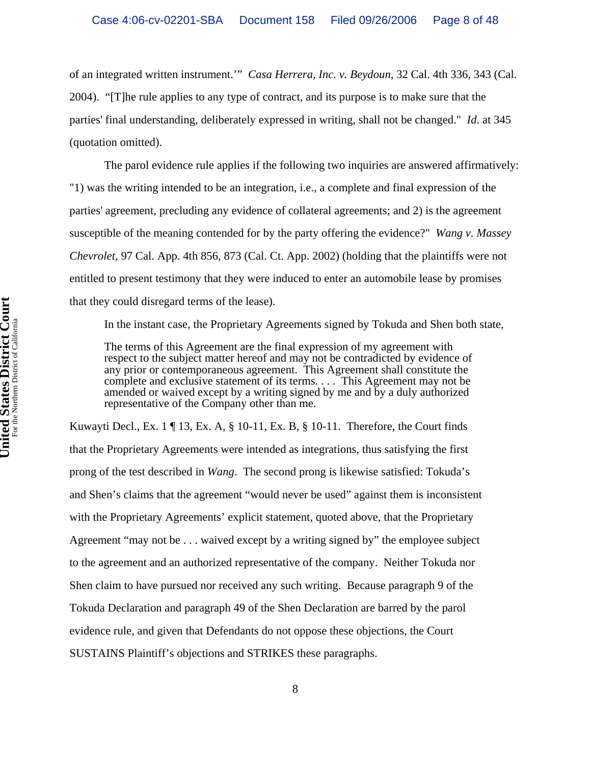of an integrated written instrument.'" *Casa Herrera, Inc. v. Beydoun*, 32 Cal. 4th 336, 343 (Cal. 2004). "[T]he rule applies to any type of contract, and its purpose is to make sure that the parties' final understanding, deliberately expressed in writing, shall not be changed." *Id*. at 345 (quotation omitted).

The parol evidence rule applies if the following two inquiries are answered affirmatively: "1) was the writing intended to be an integration, i.e., a complete and final expression of the parties' agreement, precluding any evidence of collateral agreements; and 2) is the agreement susceptible of the meaning contended for by the party offering the evidence?" *Wang v. Massey Chevrolet*, 97 Cal. App. 4th 856, 873 (Cal. Ct. App. 2002) (holding that the plaintiffs were not entitled to present testimony that they were induced to enter an automobile lease by promises that they could disregard terms of the lease).

In the instant case, the Proprietary Agreements signed by Tokuda and Shen both state,

The terms of this Agreement are the final expression of my agreement with respect to the subject matter hereof and may not be contradicted by evidence of any prior or contemporaneous agreement. This Agreement shall constitute the complete and exclusive statement of its terms. . . . This Agreement may not be amended or waived except by a writing signed by me and by a duly authorized representative of the Company other than me.

Kuwayti Decl., Ex. 1  $\P$  13, Ex. A,  $\S$  10-11, Ex. B,  $\S$  10-11. Therefore, the Court finds that the Proprietary Agreements were intended as integrations, thus satisfying the first prong of the test described in *Wang*. The second prong is likewise satisfied: Tokuda's and Shen's claims that the agreement "would never be used" against them is inconsistent with the Proprietary Agreements' explicit statement, quoted above, that the Proprietary Agreement "may not be . . . waived except by a writing signed by" the employee subject to the agreement and an authorized representative of the company. Neither Tokuda nor Shen claim to have pursued nor received any such writing. Because paragraph 9 of the Tokuda Declaration and paragraph 49 of the Shen Declaration are barred by the parol evidence rule, and given that Defendants do not oppose these objections, the Court SUSTAINS Plaintiff's objections and STRIKES these paragraphs.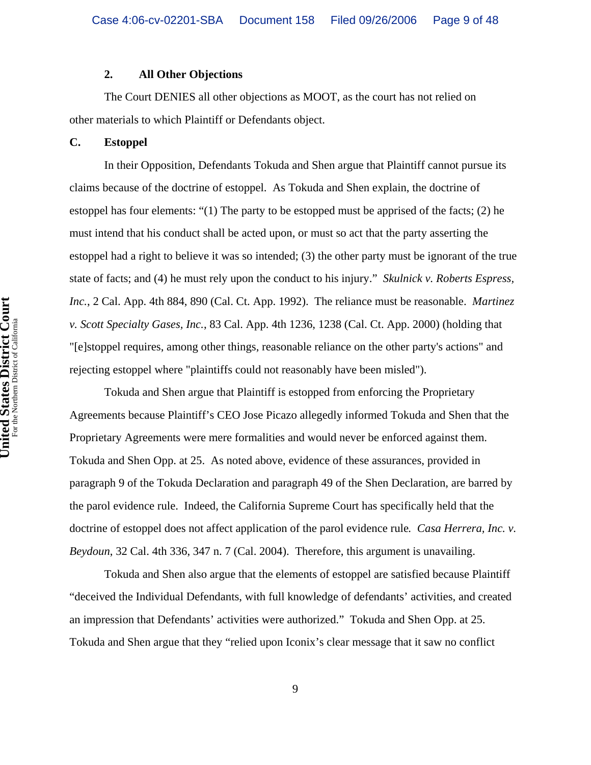## **2. All Other Objections**

The Court DENIES all other objections as MOOT, as the court has not relied on other materials to which Plaintiff or Defendants object.

## **C. Estoppel**

In their Opposition, Defendants Tokuda and Shen argue that Plaintiff cannot pursue its claims because of the doctrine of estoppel. As Tokuda and Shen explain, the doctrine of estoppel has four elements: "(1) The party to be estopped must be apprised of the facts; (2) he must intend that his conduct shall be acted upon, or must so act that the party asserting the estoppel had a right to believe it was so intended; (3) the other party must be ignorant of the true state of facts; and (4) he must rely upon the conduct to his injury." *Skulnick v. Roberts Espress, Inc.*, 2 Cal. App. 4th 884, 890 (Cal. Ct. App. 1992). The reliance must be reasonable. *Martinez v. Scott Specialty Gases, Inc.*, 83 Cal. App. 4th 1236, 1238 (Cal. Ct. App. 2000) (holding that "[e]stoppel requires, among other things, reasonable reliance on the other party's actions" and rejecting estoppel where "plaintiffs could not reasonably have been misled").

Tokuda and Shen argue that Plaintiff is estopped from enforcing the Proprietary Agreements because Plaintiff's CEO Jose Picazo allegedly informed Tokuda and Shen that the Proprietary Agreements were mere formalities and would never be enforced against them. Tokuda and Shen Opp. at 25. As noted above, evidence of these assurances, provided in paragraph 9 of the Tokuda Declaration and paragraph 49 of the Shen Declaration, are barred by the parol evidence rule. Indeed, the California Supreme Court has specifically held that the doctrine of estoppel does not affect application of the parol evidence rule*. Casa Herrera, Inc. v. Beydoun*, 32 Cal. 4th 336, 347 n. 7 (Cal. 2004). Therefore, this argument is unavailing.

Tokuda and Shen also argue that the elements of estoppel are satisfied because Plaintiff "deceived the Individual Defendants, with full knowledge of defendants' activities, and created an impression that Defendants' activities were authorized." Tokuda and Shen Opp. at 25. Tokuda and Shen argue that they "relied upon Iconix's clear message that it saw no conflict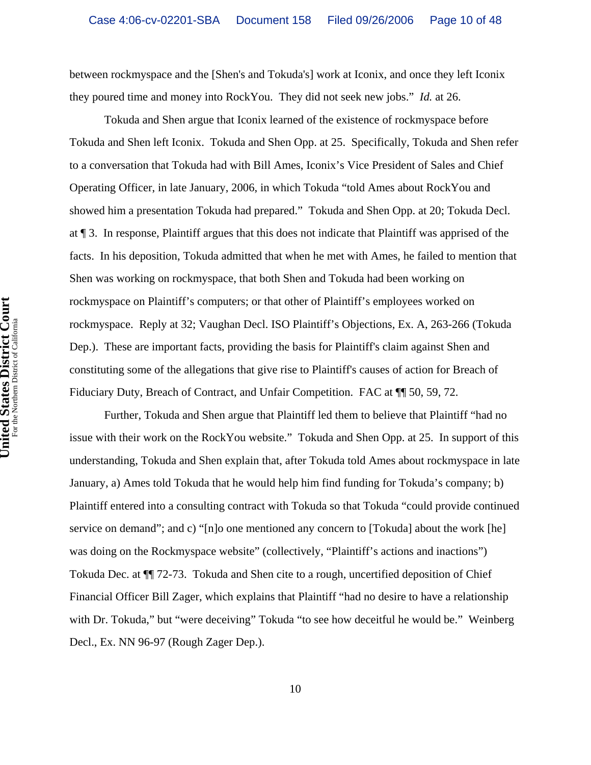between rockmyspace and the [Shen's and Tokuda's] work at Iconix, and once they left Iconix they poured time and money into RockYou. They did not seek new jobs." *Id.* at 26.

Tokuda and Shen argue that Iconix learned of the existence of rockmyspace before Tokuda and Shen left Iconix. Tokuda and Shen Opp. at 25. Specifically, Tokuda and Shen refer to a conversation that Tokuda had with Bill Ames, Iconix's Vice President of Sales and Chief Operating Officer, in late January, 2006, in which Tokuda "told Ames about RockYou and showed him a presentation Tokuda had prepared." Tokuda and Shen Opp. at 20; Tokuda Decl. at ¶ 3. In response, Plaintiff argues that this does not indicate that Plaintiff was apprised of the facts. In his deposition, Tokuda admitted that when he met with Ames, he failed to mention that Shen was working on rockmyspace, that both Shen and Tokuda had been working on rockmyspace on Plaintiff's computers; or that other of Plaintiff's employees worked on rockmyspace. Reply at 32; Vaughan Decl. ISO Plaintiff's Objections, Ex. A, 263-266 (Tokuda Dep.). These are important facts, providing the basis for Plaintiff's claim against Shen and constituting some of the allegations that give rise to Plaintiff's causes of action for Breach of Fiduciary Duty, Breach of Contract, and Unfair Competition. FAC at  $\P$  50, 59, 72.

Further, Tokuda and Shen argue that Plaintiff led them to believe that Plaintiff "had no issue with their work on the RockYou website." Tokuda and Shen Opp. at 25. In support of this understanding, Tokuda and Shen explain that, after Tokuda told Ames about rockmyspace in late January, a) Ames told Tokuda that he would help him find funding for Tokuda's company; b) Plaintiff entered into a consulting contract with Tokuda so that Tokuda "could provide continued service on demand"; and c) "[n]o one mentioned any concern to [Tokuda] about the work [he] was doing on the Rockmyspace website" (collectively, "Plaintiff's actions and inactions") Tokuda Dec. at ¶¶ 72-73. Tokuda and Shen cite to a rough, uncertified deposition of Chief Financial Officer Bill Zager, which explains that Plaintiff "had no desire to have a relationship with Dr. Tokuda," but "were deceiving" Tokuda "to see how deceitful he would be." Weinberg Decl., Ex. NN 96-97 (Rough Zager Dep.).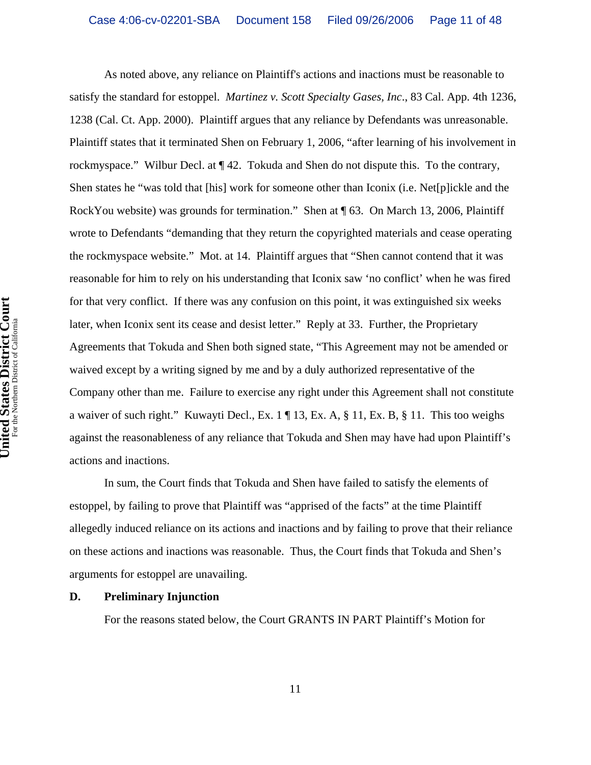As noted above, any reliance on Plaintiff's actions and inactions must be reasonable to satisfy the standard for estoppel. *Martinez v. Scott Specialty Gases, Inc*., 83 Cal. App. 4th 1236, 1238 (Cal. Ct. App. 2000). Plaintiff argues that any reliance by Defendants was unreasonable. Plaintiff states that it terminated Shen on February 1, 2006, "after learning of his involvement in rockmyspace." Wilbur Decl. at ¶ 42. Tokuda and Shen do not dispute this. To the contrary, Shen states he "was told that [his] work for someone other than Iconix (i.e. Net[p]ickle and the RockYou website) was grounds for termination." Shen at ¶ 63. On March 13, 2006, Plaintiff wrote to Defendants "demanding that they return the copyrighted materials and cease operating the rockmyspace website." Mot. at 14. Plaintiff argues that "Shen cannot contend that it was reasonable for him to rely on his understanding that Iconix saw 'no conflict' when he was fired for that very conflict. If there was any confusion on this point, it was extinguished six weeks later, when Iconix sent its cease and desist letter." Reply at 33. Further, the Proprietary Agreements that Tokuda and Shen both signed state, "This Agreement may not be amended or waived except by a writing signed by me and by a duly authorized representative of the Company other than me. Failure to exercise any right under this Agreement shall not constitute a waiver of such right." Kuwayti Decl., Ex. 1 ¶ 13, Ex. A, § 11, Ex. B, § 11. This too weighs against the reasonableness of any reliance that Tokuda and Shen may have had upon Plaintiff's actions and inactions.

In sum, the Court finds that Tokuda and Shen have failed to satisfy the elements of estoppel, by failing to prove that Plaintiff was "apprised of the facts" at the time Plaintiff allegedly induced reliance on its actions and inactions and by failing to prove that their reliance on these actions and inactions was reasonable. Thus, the Court finds that Tokuda and Shen's arguments for estoppel are unavailing.

#### **D. Preliminary Injunction**

For the reasons stated below, the Court GRANTS IN PART Plaintiff's Motion for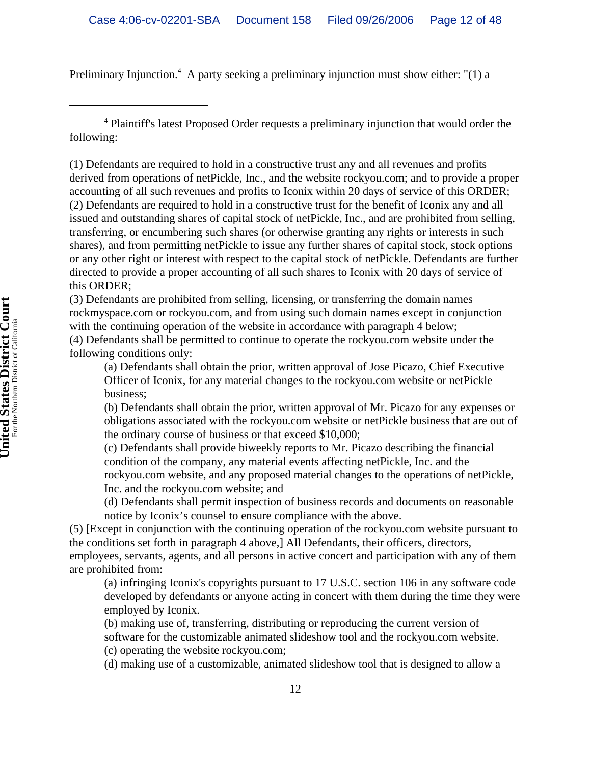Preliminary Injunction.<sup>4</sup> A party seeking a preliminary injunction must show either: "(1) a

4 Plaintiff's latest Proposed Order requests a preliminary injunction that would order the following:

(1) Defendants are required to hold in a constructive trust any and all revenues and profits derived from operations of netPickle, Inc., and the website rockyou.com; and to provide a proper accounting of all such revenues and profits to Iconix within 20 days of service of this ORDER; (2) Defendants are required to hold in a constructive trust for the benefit of Iconix any and all issued and outstanding shares of capital stock of netPickle, Inc., and are prohibited from selling, transferring, or encumbering such shares (or otherwise granting any rights or interests in such shares), and from permitting netPickle to issue any further shares of capital stock, stock options or any other right or interest with respect to the capital stock of netPickle. Defendants are further directed to provide a proper accounting of all such shares to Iconix with 20 days of service of this ORDER;

(3) Defendants are prohibited from selling, licensing, or transferring the domain names rockmyspace.com or rockyou.com, and from using such domain names except in conjunction with the continuing operation of the website in accordance with paragraph 4 below; (4) Defendants shall be permitted to continue to operate the rockyou.com website under the following conditions only:

(a) Defendants shall obtain the prior, written approval of Jose Picazo, Chief Executive Officer of Iconix, for any material changes to the rockyou.com website or netPickle business;

(b) Defendants shall obtain the prior, written approval of Mr. Picazo for any expenses or obligations associated with the rockyou.com website or netPickle business that are out of the ordinary course of business or that exceed \$10,000;

(c) Defendants shall provide biweekly reports to Mr. Picazo describing the financial condition of the company, any material events affecting netPickle, Inc. and the rockyou.com website, and any proposed material changes to the operations of netPickle, Inc. and the rockyou.com website; and

(d) Defendants shall permit inspection of business records and documents on reasonable notice by Iconix's counsel to ensure compliance with the above.

(5) [Except in conjunction with the continuing operation of the rockyou.com website pursuant to the conditions set forth in paragraph 4 above,] All Defendants, their officers, directors, employees, servants, agents, and all persons in active concert and participation with any of them are prohibited from:

(a) infringing Iconix's copyrights pursuant to 17 U.S.C. section 106 in any software code developed by defendants or anyone acting in concert with them during the time they were employed by Iconix.

(b) making use of, transferring, distributing or reproducing the current version of

software for the customizable animated slideshow tool and the rockyou.com website.

(c) operating the website rockyou.com;

(d) making use of a customizable, animated slideshow tool that is designed to allow a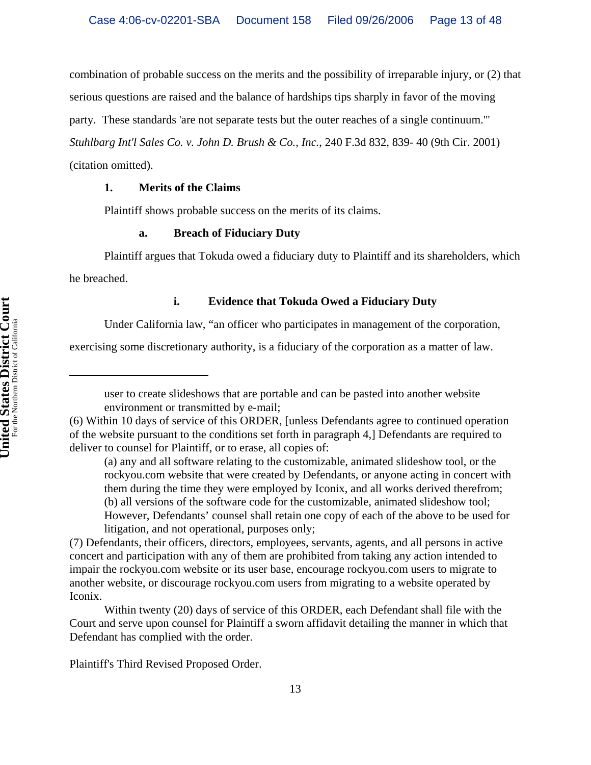combination of probable success on the merits and the possibility of irreparable injury, or (2) that

serious questions are raised and the balance of hardships tips sharply in favor of the moving

party. These standards 'are not separate tests but the outer reaches of a single continuum.'"

*Stuhlbarg Int'l Sales Co. v. John D. Brush & Co., Inc.*, 240 F.3d 832, 839- 40 (9th Cir. 2001)

(citation omitted).

# **1. Merits of the Claims**

Plaintiff shows probable success on the merits of its claims.

# **a. Breach of Fiduciary Duty**

Plaintiff argues that Tokuda owed a fiduciary duty to Plaintiff and its shareholders, which he breached.

# **i. Evidence that Tokuda Owed a Fiduciary Duty**

Under California law, "an officer who participates in management of the corporation,

exercising some discretionary authority, is a fiduciary of the corporation as a matter of law.

(a) any and all software relating to the customizable, animated slideshow tool, or the rockyou.com website that were created by Defendants, or anyone acting in concert with them during the time they were employed by Iconix, and all works derived therefrom; (b) all versions of the software code for the customizable, animated slideshow tool; However, Defendants' counsel shall retain one copy of each of the above to be used for litigation, and not operational, purposes only;

(7) Defendants, their officers, directors, employees, servants, agents, and all persons in active concert and participation with any of them are prohibited from taking any action intended to impair the rockyou.com website or its user base, encourage rockyou.com users to migrate to another website, or discourage rockyou.com users from migrating to a website operated by Iconix.

Within twenty (20) days of service of this ORDER, each Defendant shall file with the Court and serve upon counsel for Plaintiff a sworn affidavit detailing the manner in which that Defendant has complied with the order.

Plaintiff's Third Revised Proposed Order.

user to create slideshows that are portable and can be pasted into another website environment or transmitted by e-mail;

<sup>(6)</sup> Within 10 days of service of this ORDER, [unless Defendants agree to continued operation of the website pursuant to the conditions set forth in paragraph 4,] Defendants are required to deliver to counsel for Plaintiff, or to erase, all copies of: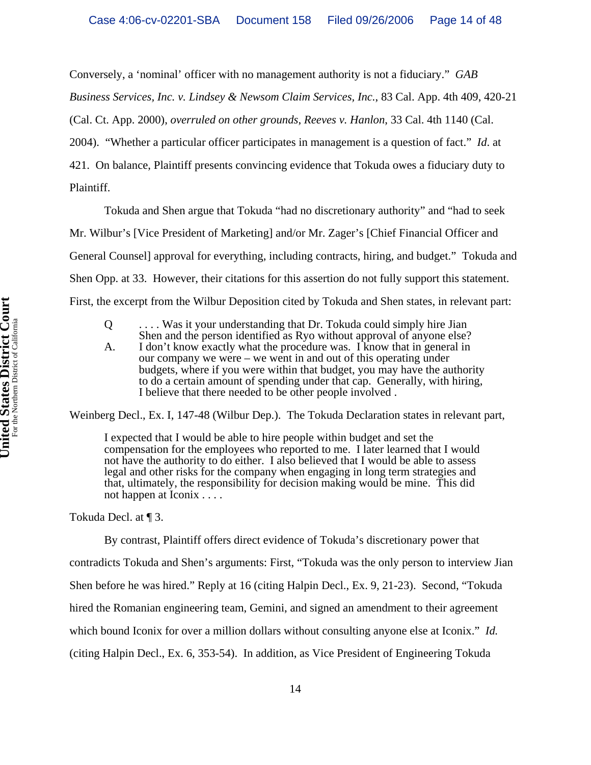Conversely, a 'nominal' officer with no management authority is not a fiduciary." *GAB*

*Business Services, Inc. v. Lindsey & Newsom Claim Services, Inc.*, 83 Cal. App. 4th 409, 420-21

(Cal. Ct. App. 2000), *overruled on other grounds*, *Reeves v. Hanlon*, 33 Cal. 4th 1140 (Cal.

2004). "Whether a particular officer participates in management is a question of fact." *Id*. at

421. On balance, Plaintiff presents convincing evidence that Tokuda owes a fiduciary duty to Plaintiff.

Tokuda and Shen argue that Tokuda "had no discretionary authority" and "had to seek

Mr. Wilbur's [Vice President of Marketing] and/or Mr. Zager's [Chief Financial Officer and General Counsel] approval for everything, including contracts, hiring, and budget." Tokuda and Shen Opp. at 33. However, their citations for this assertion do not fully support this statement.

First, the excerpt from the Wilbur Deposition cited by Tokuda and Shen states, in relevant part:

Q . . . . Was it your understanding that Dr. Tokuda could simply hire Jian Shen and the person identified as Ryo without approval of anyone else?

A. I don't know exactly what the procedure was. I know that in general in our company we were – we went in and out of this operating under budgets, where if you were within that budget, you may have the authority to do a certain amount of spending under that cap. Generally, with hiring, I believe that there needed to be other people involved .

Weinberg Decl., Ex. I, 147-48 (Wilbur Dep.). The Tokuda Declaration states in relevant part,

I expected that I would be able to hire people within budget and set the compensation for the employees who reported to me. I later learned that I would not have the authority to do either. I also believed that I would be able to assess legal and other risks for the company when engaging in long term strategies and that, ultimately, the responsibility for decision making would be mine. This did not happen at Iconix . . . .

Tokuda Decl. at ¶ 3.

By contrast, Plaintiff offers direct evidence of Tokuda's discretionary power that contradicts Tokuda and Shen's arguments: First, "Tokuda was the only person to interview Jian Shen before he was hired." Reply at 16 (citing Halpin Decl., Ex. 9, 21-23). Second, "Tokuda hired the Romanian engineering team, Gemini, and signed an amendment to their agreement which bound Iconix for over a million dollars without consulting anyone else at Iconix." *Id.* (citing Halpin Decl., Ex. 6, 353-54). In addition, as Vice President of Engineering Tokuda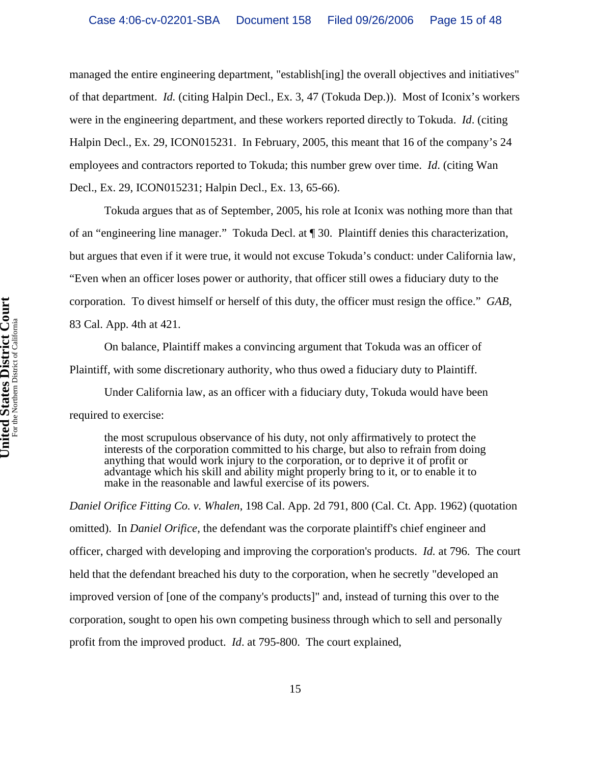managed the entire engineering department, "establish[ing] the overall objectives and initiatives" of that department. *Id.* (citing Halpin Decl., Ex. 3, 47 (Tokuda Dep.)). Most of Iconix's workers were in the engineering department, and these workers reported directly to Tokuda. *Id*. (citing Halpin Decl., Ex. 29, ICON015231. In February, 2005, this meant that 16 of the company's 24 employees and contractors reported to Tokuda; this number grew over time. *Id*. (citing Wan Decl., Ex. 29, ICON015231; Halpin Decl., Ex. 13, 65-66).

Tokuda argues that as of September, 2005, his role at Iconix was nothing more than that of an "engineering line manager." Tokuda Decl. at ¶ 30. Plaintiff denies this characterization, but argues that even if it were true, it would not excuse Tokuda's conduct: under California law, "Even when an officer loses power or authority, that officer still owes a fiduciary duty to the corporation. To divest himself or herself of this duty, the officer must resign the office." *GAB*, 83 Cal. App. 4th at 421.

On balance, Plaintiff makes a convincing argument that Tokuda was an officer of Plaintiff, with some discretionary authority, who thus owed a fiduciary duty to Plaintiff.

Under California law, as an officer with a fiduciary duty, Tokuda would have been required to exercise:

the most scrupulous observance of his duty, not only affirmatively to protect the interests of the corporation committed to his charge, but also to refrain from doing anything that would work injury to the corporation, or to deprive it of profit or advantage which his skill and ability might properly bring to it, or to enable it to make in the reasonable and lawful exercise of its powers.

*Daniel Orifice Fitting Co. v. Whalen*, 198 Cal. App. 2d 791, 800 (Cal. Ct. App. 1962) (quotation omitted). In *Daniel Orifice*, the defendant was the corporate plaintiff's chief engineer and officer, charged with developing and improving the corporation's products. *Id.* at 796. The court held that the defendant breached his duty to the corporation, when he secretly "developed an improved version of [one of the company's products]" and, instead of turning this over to the corporation, sought to open his own competing business through which to sell and personally profit from the improved product. *Id*. at 795-800. The court explained,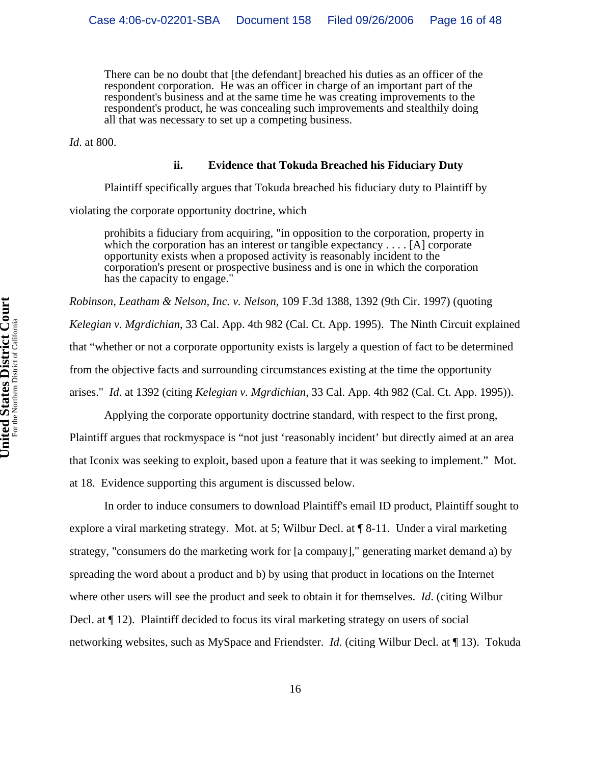There can be no doubt that [the defendant] breached his duties as an officer of the respondent corporation. He was an officer in charge of an important part of the respondent's business and at the same time he was creating improvements to the respondent's product, he was concealing such improvements and stealthily doing all that was necessary to set up a competing business.

*Id*. at 800.

#### **ii. Evidence that Tokuda Breached his Fiduciary Duty**

Plaintiff specifically argues that Tokuda breached his fiduciary duty to Plaintiff by

violating the corporate opportunity doctrine, which

prohibits a fiduciary from acquiring, "in opposition to the corporation, property in which the corporation has an interest or tangible expectancy . . . . [A] corporate opportunity exists when a proposed activity is reasonably incident to the corporation's present or prospective business and is one in which the corporation has the capacity to engage."

*Robinson, Leatham & Nelson, Inc. v. Nelson*, 109 F.3d 1388, 1392 (9th Cir. 1997) (quoting *Kelegian v. Mgrdichian*, 33 Cal. App. 4th 982 (Cal. Ct. App. 1995). The Ninth Circuit explained that "whether or not a corporate opportunity exists is largely a question of fact to be determined from the objective facts and surrounding circumstances existing at the time the opportunity arises." *Id*. at 1392 (citing *Kelegian v. Mgrdichian*, 33 Cal. App. 4th 982 (Cal. Ct. App. 1995)).

Applying the corporate opportunity doctrine standard, with respect to the first prong, Plaintiff argues that rockmyspace is "not just 'reasonably incident' but directly aimed at an area that Iconix was seeking to exploit, based upon a feature that it was seeking to implement." Mot. at 18. Evidence supporting this argument is discussed below.

In order to induce consumers to download Plaintiff's email ID product, Plaintiff sought to explore a viral marketing strategy. Mot. at 5; Wilbur Decl. at ¶ 8-11. Under a viral marketing strategy, "consumers do the marketing work for [a company]," generating market demand a) by spreading the word about a product and b) by using that product in locations on the Internet where other users will see the product and seek to obtain it for themselves. *Id*. (citing Wilbur Decl. at ¶ 12). Plaintiff decided to focus its viral marketing strategy on users of social networking websites, such as MySpace and Friendster. *Id.* (citing Wilbur Decl. at ¶ 13). Tokuda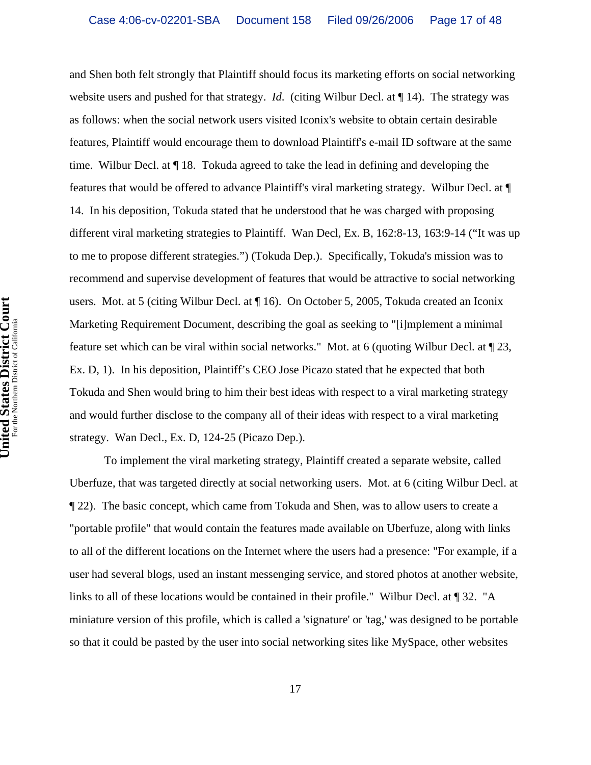and Shen both felt strongly that Plaintiff should focus its marketing efforts on social networking website users and pushed for that strategy. *Id*. (citing Wilbur Decl. at ¶ 14). The strategy was as follows: when the social network users visited Iconix's website to obtain certain desirable features, Plaintiff would encourage them to download Plaintiff's e-mail ID software at the same time. Wilbur Decl. at ¶ 18. Tokuda agreed to take the lead in defining and developing the features that would be offered to advance Plaintiff's viral marketing strategy. Wilbur Decl. at ¶ 14. In his deposition, Tokuda stated that he understood that he was charged with proposing different viral marketing strategies to Plaintiff. Wan Decl, Ex. B, 162:8-13, 163:9-14 ("It was up to me to propose different strategies.") (Tokuda Dep.). Specifically, Tokuda's mission was to recommend and supervise development of features that would be attractive to social networking users. Mot. at 5 (citing Wilbur Decl. at ¶ 16). On October 5, 2005, Tokuda created an Iconix Marketing Requirement Document, describing the goal as seeking to "[i]mplement a minimal feature set which can be viral within social networks." Mot. at 6 (quoting Wilbur Decl. at ¶ 23, Ex. D, 1). In his deposition, Plaintiff's CEO Jose Picazo stated that he expected that both Tokuda and Shen would bring to him their best ideas with respect to a viral marketing strategy and would further disclose to the company all of their ideas with respect to a viral marketing strategy. Wan Decl., Ex. D, 124-25 (Picazo Dep.).

To implement the viral marketing strategy, Plaintiff created a separate website, called Uberfuze, that was targeted directly at social networking users. Mot. at 6 (citing Wilbur Decl. at ¶ 22). The basic concept, which came from Tokuda and Shen, was to allow users to create a "portable profile" that would contain the features made available on Uberfuze, along with links to all of the different locations on the Internet where the users had a presence: "For example, if a user had several blogs, used an instant messenging service, and stored photos at another website, links to all of these locations would be contained in their profile." Wilbur Decl. at ¶ 32. "A miniature version of this profile, which is called a 'signature' or 'tag,' was designed to be portable so that it could be pasted by the user into social networking sites like MySpace, other websites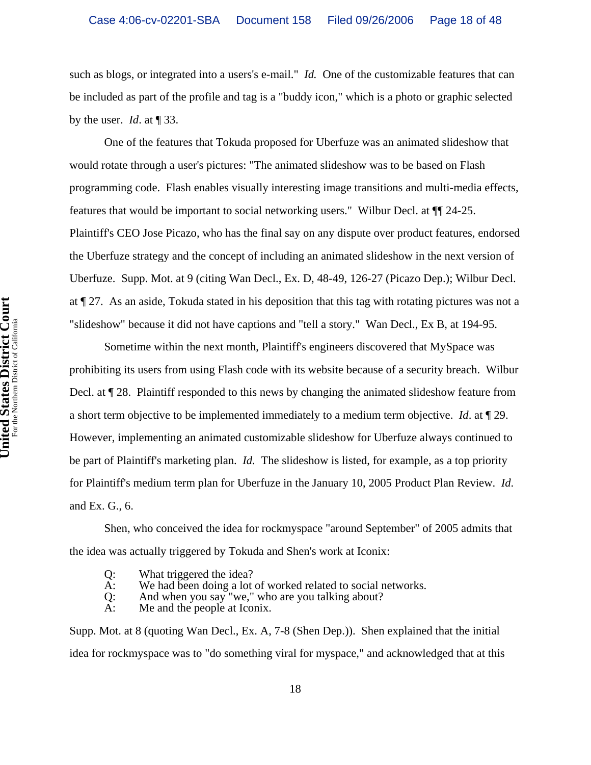such as blogs, or integrated into a users's e-mail." *Id.* One of the customizable features that can be included as part of the profile and tag is a "buddy icon," which is a photo or graphic selected by the user. *Id*. at ¶ 33.

One of the features that Tokuda proposed for Uberfuze was an animated slideshow that would rotate through a user's pictures: "The animated slideshow was to be based on Flash programming code. Flash enables visually interesting image transitions and multi-media effects, features that would be important to social networking users." Wilbur Decl. at ¶¶ 24-25. Plaintiff's CEO Jose Picazo, who has the final say on any dispute over product features, endorsed the Uberfuze strategy and the concept of including an animated slideshow in the next version of Uberfuze. Supp. Mot. at 9 (citing Wan Decl., Ex. D, 48-49, 126-27 (Picazo Dep.); Wilbur Decl. at ¶ 27. As an aside, Tokuda stated in his deposition that this tag with rotating pictures was not a "slideshow" because it did not have captions and "tell a story." Wan Decl., Ex B, at 194-95.

Sometime within the next month, Plaintiff's engineers discovered that MySpace was prohibiting its users from using Flash code with its website because of a security breach. Wilbur Decl. at ¶ 28. Plaintiff responded to this news by changing the animated slideshow feature from a short term objective to be implemented immediately to a medium term objective. *Id*. at ¶ 29. However, implementing an animated customizable slideshow for Uberfuze always continued to be part of Plaintiff's marketing plan. *Id.* The slideshow is listed, for example, as a top priority for Plaintiff's medium term plan for Uberfuze in the January 10, 2005 Product Plan Review. *Id*. and Ex. G., 6.

Shen, who conceived the idea for rockmyspace "around September" of 2005 admits that the idea was actually triggered by Tokuda and Shen's work at Iconix:

- Q: What triggered the idea?<br>A: We had been doing a lot
- We had been doing a lot of worked related to social networks.
- Q: And when you say "we," who are you talking about?<br>A: Me and the people at Iconix.
- Me and the people at Iconix.

Supp. Mot. at 8 (quoting Wan Decl., Ex. A, 7-8 (Shen Dep.)). Shen explained that the initial idea for rockmyspace was to "do something viral for myspace," and acknowledged that at this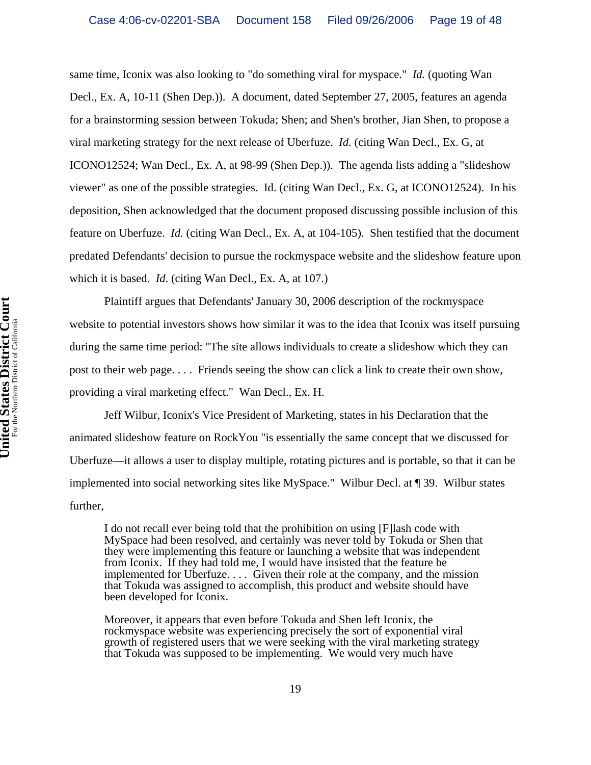same time, Iconix was also looking to "do something viral for myspace." *Id.* (quoting Wan Decl., Ex. A, 10-11 (Shen Dep.)). A document, dated September 27, 2005, features an agenda for a brainstorming session between Tokuda; Shen; and Shen's brother, Jian Shen, to propose a viral marketing strategy for the next release of Uberfuze. *Id*. (citing Wan Decl., Ex. G, at ICONO12524; Wan Decl., Ex. A, at 98-99 (Shen Dep.)). The agenda lists adding a "slideshow viewer" as one of the possible strategies. Id. (citing Wan Decl., Ex. G, at ICONO12524). In his deposition, Shen acknowledged that the document proposed discussing possible inclusion of this feature on Uberfuze. *Id.* (citing Wan Decl., Ex. A, at 104-105). Shen testified that the document predated Defendants' decision to pursue the rockmyspace website and the slideshow feature upon which it is based. *Id*. (citing Wan Decl., Ex. A, at 107.)

Plaintiff argues that Defendants' January 30, 2006 description of the rockmyspace website to potential investors shows how similar it was to the idea that Iconix was itself pursuing during the same time period: "The site allows individuals to create a slideshow which they can post to their web page. . . . Friends seeing the show can click a link to create their own show, providing a viral marketing effect." Wan Decl., Ex. H.

Jeff Wilbur, Iconix's Vice President of Marketing, states in his Declaration that the animated slideshow feature on RockYou "is essentially the same concept that we discussed for Uberfuze—it allows a user to display multiple, rotating pictures and is portable, so that it can be implemented into social networking sites like MySpace." Wilbur Decl. at ¶ 39. Wilbur states further,

I do not recall ever being told that the prohibition on using [F]lash code with MySpace had been resolved, and certainly was never told by Tokuda or Shen that they were implementing this feature or launching a website that was independent from Iconix. If they had told me, I would have insisted that the feature be implemented for Uberfuze. . . . Given their role at the company, and the mission that Tokuda was assigned to accomplish, this product and website should have been developed for Iconix.

Moreover, it appears that even before Tokuda and Shen left Iconix, the rockmyspace website was experiencing precisely the sort of exponential viral growth of registered users that we were seeking with the viral marketing strategy that Tokuda was supposed to be implementing. We would very much have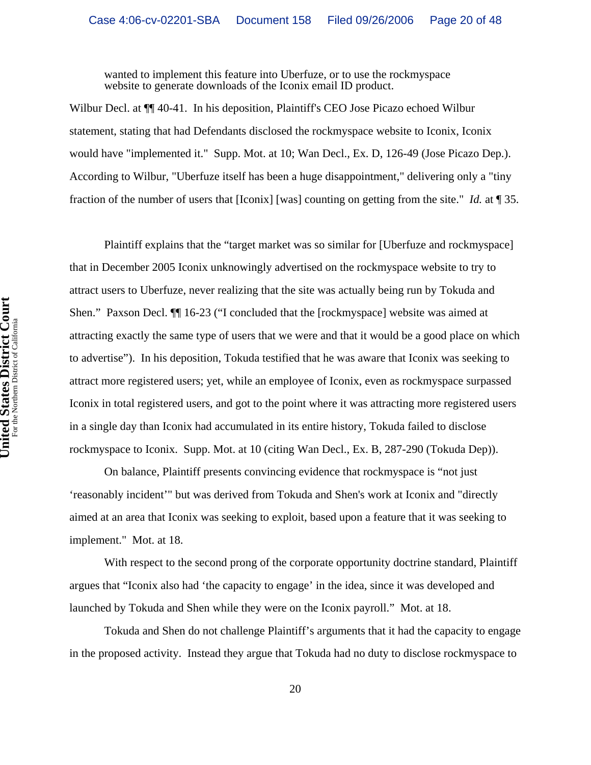wanted to implement this feature into Uberfuze, or to use the rockmyspace website to generate downloads of the Iconix email ID product.

Wilbur Decl. at ¶¶ 40-41. In his deposition, Plaintiff's CEO Jose Picazo echoed Wilbur statement, stating that had Defendants disclosed the rockmyspace website to Iconix, Iconix would have "implemented it." Supp. Mot. at 10; Wan Decl., Ex. D, 126-49 (Jose Picazo Dep.). According to Wilbur, "Uberfuze itself has been a huge disappointment," delivering only a "tiny fraction of the number of users that [Iconix] [was] counting on getting from the site." *Id.* at ¶ 35.

Plaintiff explains that the "target market was so similar for [Uberfuze and rockmyspace] that in December 2005 Iconix unknowingly advertised on the rockmyspace website to try to attract users to Uberfuze, never realizing that the site was actually being run by Tokuda and Shen." Paxson Decl. ¶¶ 16-23 ("I concluded that the [rockmyspace] website was aimed at attracting exactly the same type of users that we were and that it would be a good place on which to advertise"). In his deposition, Tokuda testified that he was aware that Iconix was seeking to attract more registered users; yet, while an employee of Iconix, even as rockmyspace surpassed Iconix in total registered users, and got to the point where it was attracting more registered users in a single day than Iconix had accumulated in its entire history, Tokuda failed to disclose rockmyspace to Iconix. Supp. Mot. at 10 (citing Wan Decl., Ex. B, 287-290 (Tokuda Dep)).

On balance, Plaintiff presents convincing evidence that rockmyspace is "not just 'reasonably incident'" but was derived from Tokuda and Shen's work at Iconix and "directly aimed at an area that Iconix was seeking to exploit, based upon a feature that it was seeking to implement." Mot. at 18.

With respect to the second prong of the corporate opportunity doctrine standard, Plaintiff argues that "Iconix also had 'the capacity to engage' in the idea, since it was developed and launched by Tokuda and Shen while they were on the Iconix payroll." Mot. at 18.

Tokuda and Shen do not challenge Plaintiff's arguments that it had the capacity to engage in the proposed activity. Instead they argue that Tokuda had no duty to disclose rockmyspace to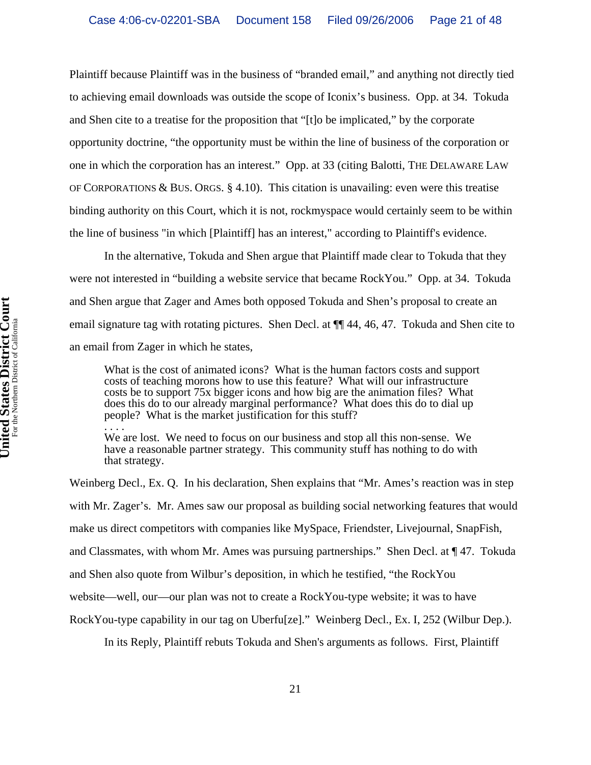Plaintiff because Plaintiff was in the business of "branded email," and anything not directly tied to achieving email downloads was outside the scope of Iconix's business. Opp. at 34. Tokuda and Shen cite to a treatise for the proposition that "[t]o be implicated," by the corporate opportunity doctrine, "the opportunity must be within the line of business of the corporation or one in which the corporation has an interest." Opp. at 33 (citing Balotti, THE DELAWARE LAW OF CORPORATIONS & BUS. ORGS.  $\S$  4.10). This citation is unavailing: even were this treatise binding authority on this Court, which it is not, rockmyspace would certainly seem to be within the line of business "in which [Plaintiff] has an interest," according to Plaintiff's evidence.

In the alternative, Tokuda and Shen argue that Plaintiff made clear to Tokuda that they were not interested in "building a website service that became RockYou." Opp. at 34. Tokuda and Shen argue that Zager and Ames both opposed Tokuda and Shen's proposal to create an email signature tag with rotating pictures. Shen Decl. at ¶¶ 44, 46, 47. Tokuda and Shen cite to an email from Zager in which he states,

What is the cost of animated icons? What is the human factors costs and support costs of teaching morons how to use this feature? What will our infrastructure costs be to support 75x bigger icons and how big are the animation files? What does this do to our already marginal performance? What does this do to dial up people? What is the market justification for this stuff?

.<br>. . . . We are lost. We need to focus on our business and stop all this non-sense. We have a reasonable partner strategy. This community stuff has nothing to do with that strategy.

Weinberg Decl., Ex. Q. In his declaration, Shen explains that "Mr. Ames's reaction was in step with Mr. Zager's. Mr. Ames saw our proposal as building social networking features that would make us direct competitors with companies like MySpace, Friendster, Livejournal, SnapFish, and Classmates, with whom Mr. Ames was pursuing partnerships." Shen Decl. at ¶ 47. Tokuda and Shen also quote from Wilbur's deposition, in which he testified, "the RockYou website—well, our—our plan was not to create a RockYou-type website; it was to have RockYou-type capability in our tag on Uberfu[ze]." Weinberg Decl., Ex. I, 252 (Wilbur Dep.).

In its Reply, Plaintiff rebuts Tokuda and Shen's arguments as follows. First, Plaintiff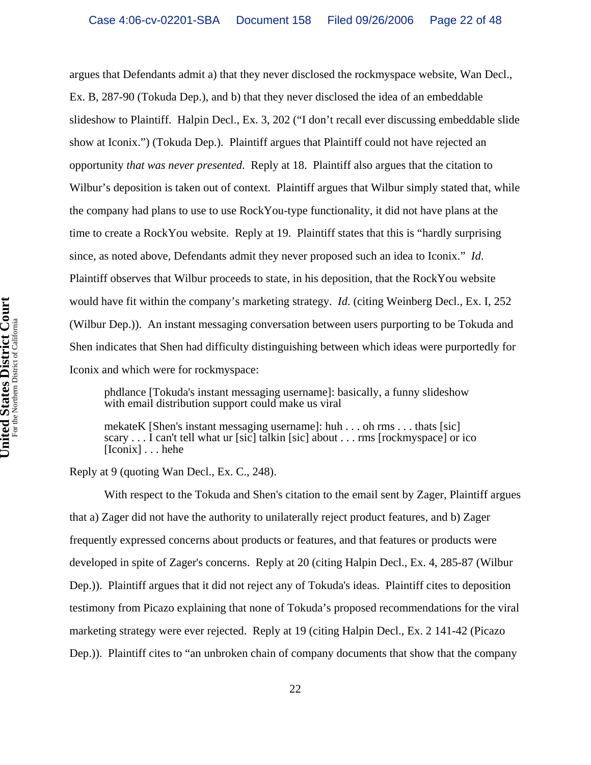argues that Defendants admit a) that they never disclosed the rockmyspace website, Wan Decl., Ex. B, 287-90 (Tokuda Dep.), and b) that they never disclosed the idea of an embeddable slideshow to Plaintiff. Halpin Decl., Ex. 3, 202 ("I don't recall ever discussing embeddable slide show at Iconix.") (Tokuda Dep.). Plaintiff argues that Plaintiff could not have rejected an opportunity *that was never presented*. Reply at 18. Plaintiff also argues that the citation to Wilbur's deposition is taken out of context. Plaintiff argues that Wilbur simply stated that, while the company had plans to use to use RockYou-type functionality, it did not have plans at the time to create a RockYou website. Reply at 19. Plaintiff states that this is "hardly surprising since, as noted above, Defendants admit they never proposed such an idea to Iconix." *Id*. Plaintiff observes that Wilbur proceeds to state, in his deposition, that the RockYou website would have fit within the company's marketing strategy. *Id*. (citing Weinberg Decl., Ex. I, 252 (Wilbur Dep.)). An instant messaging conversation between users purporting to be Tokuda and Shen indicates that Shen had difficulty distinguishing between which ideas were purportedly for Iconix and which were for rockmyspace:

phdlance [Tokuda's instant messaging username]: basically, a funny slideshow with email distribution support could make us viral

mekateK [Shen's instant messaging username]: huh . . . oh rms . . . thats [sic] scary . . . I can't tell what ur [sic] talkin [sic] about . . . rms [rockmyspace] or ico [Iconix] . . . hehe

Reply at 9 (quoting Wan Decl., Ex. C., 248).

With respect to the Tokuda and Shen's citation to the email sent by Zager, Plaintiff argues that a) Zager did not have the authority to unilaterally reject product features, and b) Zager frequently expressed concerns about products or features, and that features or products were developed in spite of Zager's concerns. Reply at 20 (citing Halpin Decl., Ex. 4, 285-87 (Wilbur Dep.)). Plaintiff argues that it did not reject any of Tokuda's ideas. Plaintiff cites to deposition testimony from Picazo explaining that none of Tokuda's proposed recommendations for the viral marketing strategy were ever rejected. Reply at 19 (citing Halpin Decl., Ex. 2 141-42 (Picazo Dep.)). Plaintiff cites to "an unbroken chain of company documents that show that the company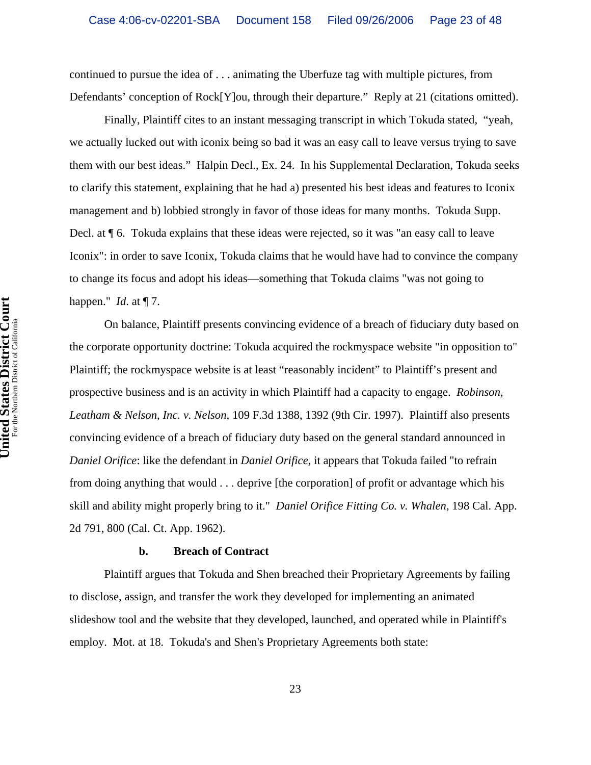continued to pursue the idea of . . . animating the Uberfuze tag with multiple pictures, from Defendants' conception of Rock[Y]ou, through their departure." Reply at 21 (citations omitted).

Finally, Plaintiff cites to an instant messaging transcript in which Tokuda stated, "yeah, we actually lucked out with iconix being so bad it was an easy call to leave versus trying to save them with our best ideas." Halpin Decl., Ex. 24. In his Supplemental Declaration, Tokuda seeks to clarify this statement, explaining that he had a) presented his best ideas and features to Iconix management and b) lobbied strongly in favor of those ideas for many months. Tokuda Supp. Decl. at ¶ 6. Tokuda explains that these ideas were rejected, so it was "an easy call to leave Iconix": in order to save Iconix, Tokuda claims that he would have had to convince the company to change its focus and adopt his ideas—something that Tokuda claims "was not going to happen." *Id*. at ¶ 7.

On balance, Plaintiff presents convincing evidence of a breach of fiduciary duty based on the corporate opportunity doctrine: Tokuda acquired the rockmyspace website "in opposition to" Plaintiff; the rockmyspace website is at least "reasonably incident" to Plaintiff's present and prospective business and is an activity in which Plaintiff had a capacity to engage. *Robinson, Leatham & Nelson, Inc. v. Nelson*, 109 F.3d 1388, 1392 (9th Cir. 1997). Plaintiff also presents convincing evidence of a breach of fiduciary duty based on the general standard announced in *Daniel Orifice*: like the defendant in *Daniel Orifice*, it appears that Tokuda failed "to refrain from doing anything that would . . . deprive [the corporation] of profit or advantage which his skill and ability might properly bring to it." *Daniel Orifice Fitting Co. v. Whalen*, 198 Cal. App. 2d 791, 800 (Cal. Ct. App. 1962).

#### **b. Breach of Contract**

Plaintiff argues that Tokuda and Shen breached their Proprietary Agreements by failing to disclose, assign, and transfer the work they developed for implementing an animated slideshow tool and the website that they developed, launched, and operated while in Plaintiff's employ. Mot. at 18. Tokuda's and Shen's Proprietary Agreements both state: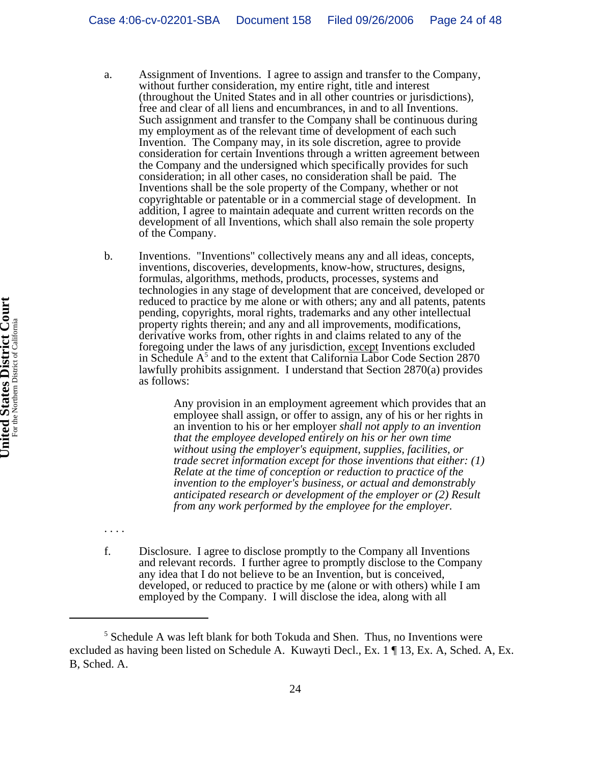- a. Assignment of Inventions. I agree to assign and transfer to the Company, without further consideration, my entire right, title and interest (throughout the United States and in all other countries or jurisdictions), free and clear of all liens and encumbrances, in and to all Inventions. Such assignment and transfer to the Company shall be continuous during my employment as of the relevant time of development of each such Invention. The Company may, in its sole discretion, agree to provide consideration for certain Inventions through a written agreement between the Company and the undersigned which specifically provides for such consideration; in all other cases, no consideration shall be paid. The Inventions shall be the sole property of the Company, whether or not copyrightable or patentable or in a commercial stage of development. In addition, I agree to maintain adequate and current written records on the development of all Inventions, which shall also remain the sole property of the Company.
- b. Inventions. "Inventions" collectively means any and all ideas, concepts, inventions, discoveries, developments, know-how, structures, designs, formulas, algorithms, methods, products, processes, systems and technologies in any stage of development that are conceived, developed or reduced to practice by me alone or with others; any and all patents, patents pending, copyrights, moral rights, trademarks and any other intellectual property rights therein; and any and all improvements, modifications, derivative works from, other rights in and claims related to any of the foregoing under the laws of any jurisdiction, except Inventions excluded in Schedule A<sup>5</sup> and to the extent that California Labor Code Section 2870 lawfully prohibits assignment. I understand that Section 2870(a) provides as follows:

Any provision in an employment agreement which provides that an employee shall assign, or offer to assign, any of his or her rights in an invention to his or her employer *shall not apply to an invention that the employee developed entirely on his or her own time without using the employer's equipment, supplies, facilities, or trade secret information except for those inventions that either: (1) Relate at the time of conception or reduction to practice of the invention to the employer's business, or actual and demonstrably anticipated research or development of the employer or (2) Result from any work performed by the employee for the employer.*

f. Disclosure. I agree to disclose promptly to the Company all Inventions and relevant records. I further agree to promptly disclose to the Company any idea that I do not believe to be an Invention, but is conceived, developed, or reduced to practice by me (alone or with others) while I am employed by the Company. I will disclose the idea, along with all

. . . .

<sup>&</sup>lt;sup>5</sup> Schedule A was left blank for both Tokuda and Shen. Thus, no Inventions were excluded as having been listed on Schedule A. Kuwayti Decl., Ex. 1 ¶ 13, Ex. A, Sched. A, Ex. B, Sched. A.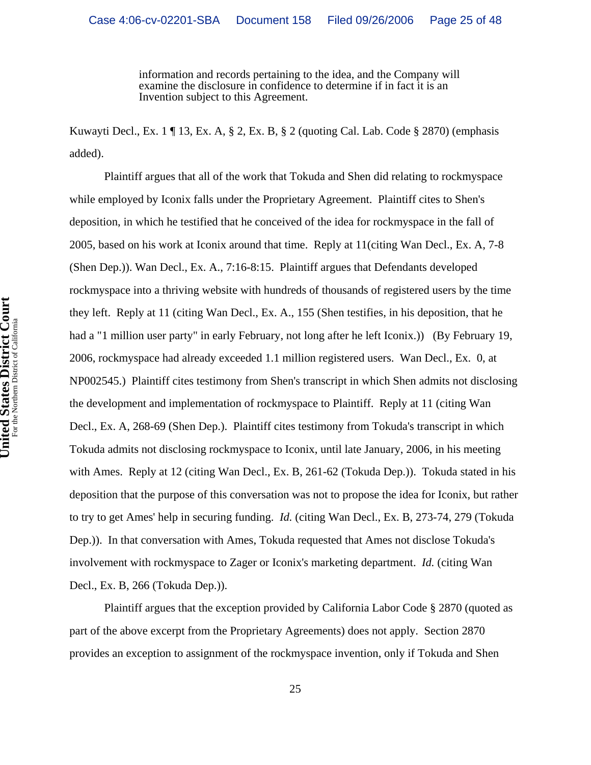information and records pertaining to the idea, and the Company will examine the disclosure in confidence to determine if in fact it is an Invention subject to this Agreement.

Kuwayti Decl., Ex. 1 ¶ 13, Ex. A, § 2, Ex. B, § 2 (quoting Cal. Lab. Code § 2870) (emphasis added).

Plaintiff argues that all of the work that Tokuda and Shen did relating to rockmyspace while employed by Iconix falls under the Proprietary Agreement. Plaintiff cites to Shen's deposition, in which he testified that he conceived of the idea for rockmyspace in the fall of 2005, based on his work at Iconix around that time. Reply at 11(citing Wan Decl., Ex. A, 7-8 (Shen Dep.)). Wan Decl., Ex. A., 7:16-8:15. Plaintiff argues that Defendants developed rockmyspace into a thriving website with hundreds of thousands of registered users by the time they left. Reply at 11 (citing Wan Decl., Ex. A., 155 (Shen testifies, in his deposition, that he had a "1 million user party" in early February, not long after he left Iconix.)) (By February 19, 2006, rockmyspace had already exceeded 1.1 million registered users. Wan Decl., Ex. 0, at NP002545.) Plaintiff cites testimony from Shen's transcript in which Shen admits not disclosing the development and implementation of rockmyspace to Plaintiff. Reply at 11 (citing Wan Decl., Ex. A, 268-69 (Shen Dep.). Plaintiff cites testimony from Tokuda's transcript in which Tokuda admits not disclosing rockmyspace to Iconix, until late January, 2006, in his meeting with Ames. Reply at 12 (citing Wan Decl., Ex. B, 261-62 (Tokuda Dep.)). Tokuda stated in his deposition that the purpose of this conversation was not to propose the idea for Iconix, but rather to try to get Ames' help in securing funding. *Id.* (citing Wan Decl., Ex. B, 273-74, 279 (Tokuda Dep.)). In that conversation with Ames, Tokuda requested that Ames not disclose Tokuda's involvement with rockmyspace to Zager or Iconix's marketing department. *Id.* (citing Wan Decl., Ex. B, 266 (Tokuda Dep.)).

Plaintiff argues that the exception provided by California Labor Code § 2870 (quoted as part of the above excerpt from the Proprietary Agreements) does not apply. Section 2870 provides an exception to assignment of the rockmyspace invention, only if Tokuda and Shen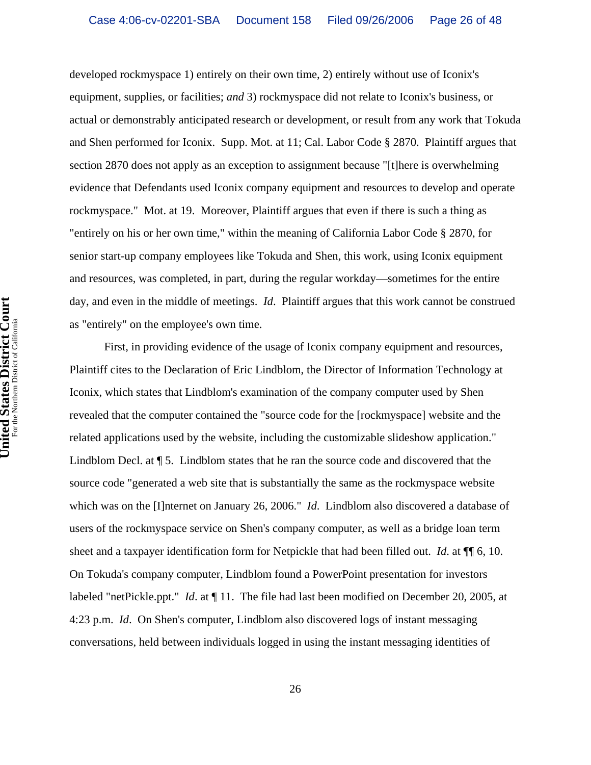developed rockmyspace 1) entirely on their own time, 2) entirely without use of Iconix's equipment, supplies, or facilities; *and* 3) rockmyspace did not relate to Iconix's business, or actual or demonstrably anticipated research or development, or result from any work that Tokuda and Shen performed for Iconix. Supp. Mot. at 11; Cal. Labor Code § 2870. Plaintiff argues that section 2870 does not apply as an exception to assignment because "[t]here is overwhelming evidence that Defendants used Iconix company equipment and resources to develop and operate rockmyspace." Mot. at 19. Moreover, Plaintiff argues that even if there is such a thing as "entirely on his or her own time," within the meaning of California Labor Code § 2870, for senior start-up company employees like Tokuda and Shen, this work, using Iconix equipment and resources, was completed, in part, during the regular workday—sometimes for the entire day, and even in the middle of meetings. *Id*. Plaintiff argues that this work cannot be construed as "entirely" on the employee's own time.

First, in providing evidence of the usage of Iconix company equipment and resources, Plaintiff cites to the Declaration of Eric Lindblom, the Director of Information Technology at Iconix, which states that Lindblom's examination of the company computer used by Shen revealed that the computer contained the "source code for the [rockmyspace] website and the related applications used by the website, including the customizable slideshow application." Lindblom Decl. at  $\P$  5. Lindblom states that he ran the source code and discovered that the source code "generated a web site that is substantially the same as the rockmyspace website which was on the [I]nternet on January 26, 2006." *Id*. Lindblom also discovered a database of users of the rockmyspace service on Shen's company computer, as well as a bridge loan term sheet and a taxpayer identification form for Netpickle that had been filled out. *Id*. at ¶¶ 6, 10. On Tokuda's company computer, Lindblom found a PowerPoint presentation for investors labeled "netPickle.ppt." *Id*. at ¶ 11. The file had last been modified on December 20, 2005, at 4:23 p.m. *Id*. On Shen's computer, Lindblom also discovered logs of instant messaging conversations, held between individuals logged in using the instant messaging identities of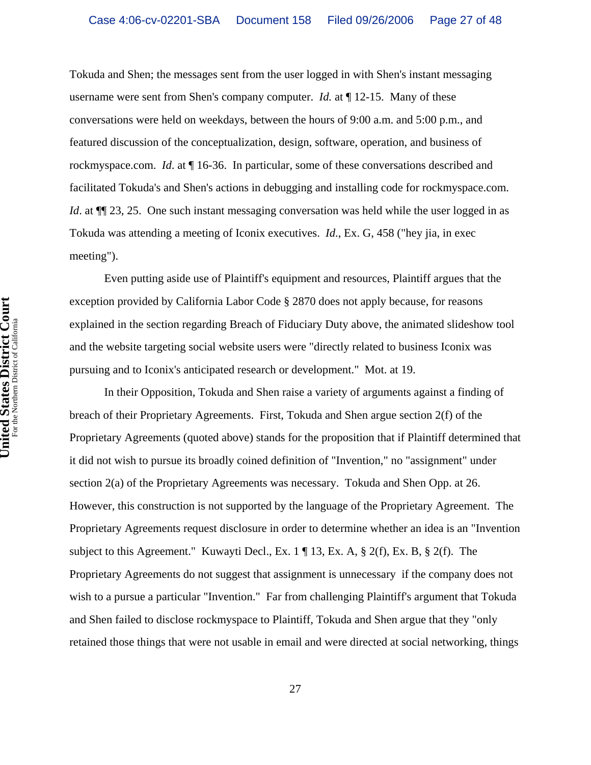Tokuda and Shen; the messages sent from the user logged in with Shen's instant messaging username were sent from Shen's company computer. *Id.* at  $\P$  12-15. Many of these conversations were held on weekdays, between the hours of 9:00 a.m. and 5:00 p.m., and featured discussion of the conceptualization, design, software, operation, and business of rockmyspace.com. *Id*. at ¶ 16-36. In particular, some of these conversations described and facilitated Tokuda's and Shen's actions in debugging and installing code for rockmyspace.com. *Id.* at  $\P$ [23, 25. One such instant messaging conversation was held while the user logged in as Tokuda was attending a meeting of Iconix executives. *Id*., Ex. G, 458 ("hey jia, in exec meeting").

Even putting aside use of Plaintiff's equipment and resources, Plaintiff argues that the exception provided by California Labor Code § 2870 does not apply because, for reasons explained in the section regarding Breach of Fiduciary Duty above, the animated slideshow tool and the website targeting social website users were "directly related to business Iconix was pursuing and to Iconix's anticipated research or development." Mot. at 19.

In their Opposition, Tokuda and Shen raise a variety of arguments against a finding of breach of their Proprietary Agreements. First, Tokuda and Shen argue section 2(f) of the Proprietary Agreements (quoted above) stands for the proposition that if Plaintiff determined that it did not wish to pursue its broadly coined definition of "Invention," no "assignment" under section 2(a) of the Proprietary Agreements was necessary. Tokuda and Shen Opp. at 26. However, this construction is not supported by the language of the Proprietary Agreement. The Proprietary Agreements request disclosure in order to determine whether an idea is an "Invention subject to this Agreement." Kuwayti Decl., Ex. 1 ¶ 13, Ex. A, § 2(f), Ex. B, § 2(f). The Proprietary Agreements do not suggest that assignment is unnecessary if the company does not wish to a pursue a particular "Invention." Far from challenging Plaintiff's argument that Tokuda and Shen failed to disclose rockmyspace to Plaintiff, Tokuda and Shen argue that they "only retained those things that were not usable in email and were directed at social networking, things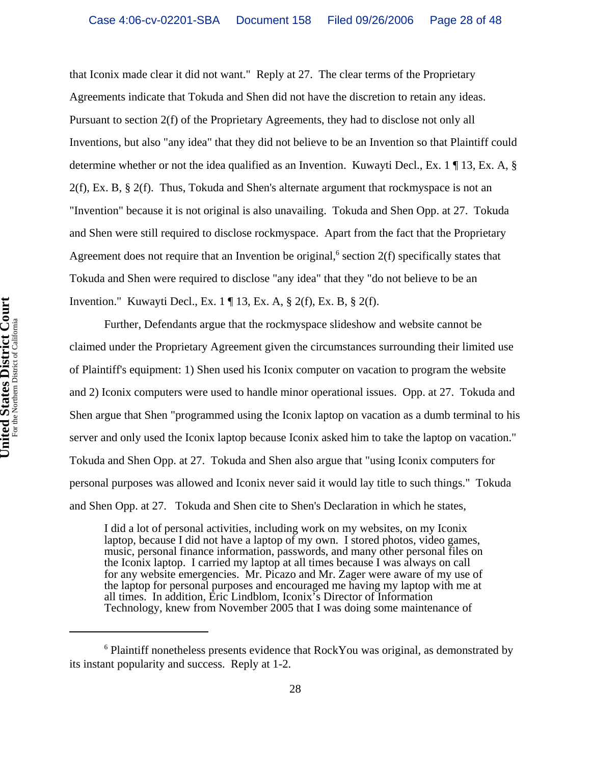that Iconix made clear it did not want." Reply at 27. The clear terms of the Proprietary Agreements indicate that Tokuda and Shen did not have the discretion to retain any ideas. Pursuant to section 2(f) of the Proprietary Agreements, they had to disclose not only all Inventions, but also "any idea" that they did not believe to be an Invention so that Plaintiff could determine whether or not the idea qualified as an Invention. Kuwayti Decl., Ex. 1 ¶ 13, Ex. A, §  $2(f)$ , Ex. B, §  $2(f)$ . Thus, Tokuda and Shen's alternate argument that rockmyspace is not an "Invention" because it is not original is also unavailing. Tokuda and Shen Opp. at 27. Tokuda and Shen were still required to disclose rockmyspace. Apart from the fact that the Proprietary Agreement does not require that an Invention be original,<sup>6</sup> section  $2(f)$  specifically states that Tokuda and Shen were required to disclose "any idea" that they "do not believe to be an Invention." Kuwayti Decl., Ex. 1 ¶ 13, Ex. A, § 2(f), Ex. B, § 2(f).

Further, Defendants argue that the rockmyspace slideshow and website cannot be claimed under the Proprietary Agreement given the circumstances surrounding their limited use of Plaintiff's equipment: 1) Shen used his Iconix computer on vacation to program the website and 2) Iconix computers were used to handle minor operational issues. Opp. at 27. Tokuda and Shen argue that Shen "programmed using the Iconix laptop on vacation as a dumb terminal to his server and only used the Iconix laptop because Iconix asked him to take the laptop on vacation." Tokuda and Shen Opp. at 27. Tokuda and Shen also argue that "using Iconix computers for personal purposes was allowed and Iconix never said it would lay title to such things." Tokuda and Shen Opp. at 27. Tokuda and Shen cite to Shen's Declaration in which he states,

I did a lot of personal activities, including work on my websites, on my Iconix laptop, because I did not have a laptop of my own. I stored photos, video games, music, personal finance information, passwords, and many other personal files on the Iconix laptop. I carried my laptop at all times because I was always on call for any website emergencies. Mr. Picazo and Mr. Zager were aware of my use of the laptop for personal purposes and encouraged me having my laptop with me at all times. In addition, Eric Lindblom, Iconix's Director of Information Technology, knew from November 2005 that I was doing some maintenance of

<sup>&</sup>lt;sup>6</sup> Plaintiff nonetheless presents evidence that RockYou was original, as demonstrated by its instant popularity and success. Reply at 1-2.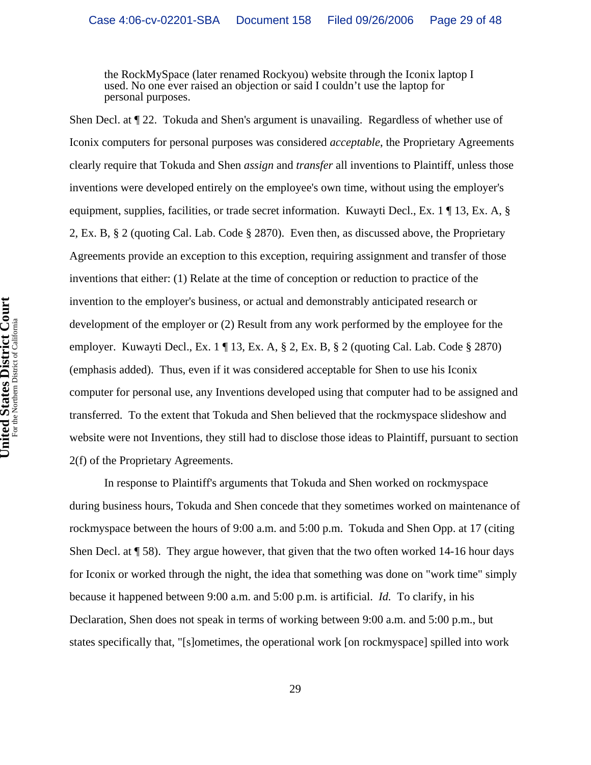the RockMySpace (later renamed Rockyou) website through the Iconix laptop I used. No one ever raised an objection or said I couldn't use the laptop for personal purposes.

Shen Decl. at ¶ 22. Tokuda and Shen's argument is unavailing. Regardless of whether use of Iconix computers for personal purposes was considered *acceptable*, the Proprietary Agreements clearly require that Tokuda and Shen *assign* and *transfer* all inventions to Plaintiff, unless those inventions were developed entirely on the employee's own time, without using the employer's equipment, supplies, facilities, or trade secret information. Kuwayti Decl., Ex. 1 ¶ 13, Ex. A, § 2, Ex. B, § 2 (quoting Cal. Lab. Code § 2870). Even then, as discussed above, the Proprietary Agreements provide an exception to this exception, requiring assignment and transfer of those inventions that either: (1) Relate at the time of conception or reduction to practice of the invention to the employer's business, or actual and demonstrably anticipated research or development of the employer or (2) Result from any work performed by the employee for the employer. Kuwayti Decl., Ex. 1 ¶ 13, Ex. A, § 2, Ex. B, § 2 (quoting Cal. Lab. Code § 2870) (emphasis added). Thus, even if it was considered acceptable for Shen to use his Iconix computer for personal use, any Inventions developed using that computer had to be assigned and transferred. To the extent that Tokuda and Shen believed that the rockmyspace slideshow and website were not Inventions, they still had to disclose those ideas to Plaintiff, pursuant to section 2(f) of the Proprietary Agreements.

In response to Plaintiff's arguments that Tokuda and Shen worked on rockmyspace during business hours, Tokuda and Shen concede that they sometimes worked on maintenance of rockmyspace between the hours of 9:00 a.m. and 5:00 p.m. Tokuda and Shen Opp. at 17 (citing Shen Decl. at  $\sqrt{58}$ . They argue however, that given that the two often worked 14-16 hour days for Iconix or worked through the night, the idea that something was done on "work time" simply because it happened between 9:00 a.m. and 5:00 p.m. is artificial. *Id.* To clarify, in his Declaration, Shen does not speak in terms of working between 9:00 a.m. and 5:00 p.m., but states specifically that, "[s]ometimes, the operational work [on rockmyspace] spilled into work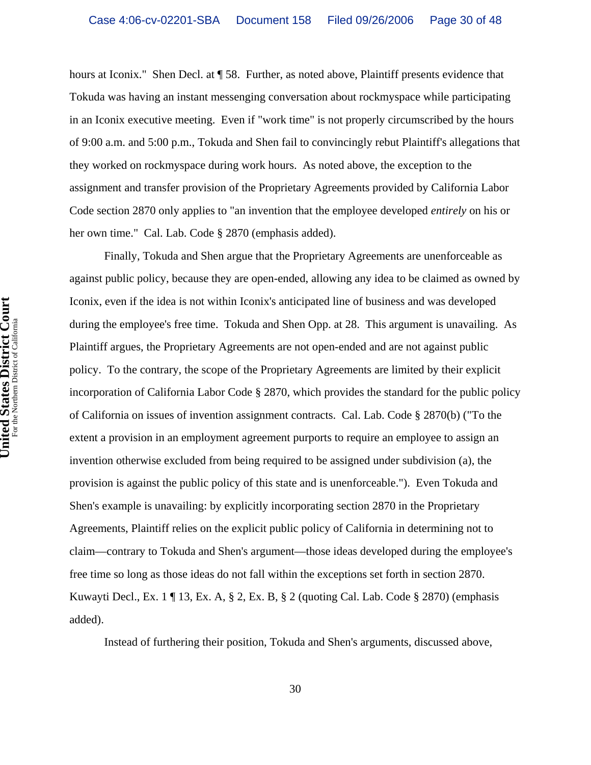hours at Iconix." Shen Decl. at ¶ 58. Further, as noted above, Plaintiff presents evidence that Tokuda was having an instant messenging conversation about rockmyspace while participating in an Iconix executive meeting. Even if "work time" is not properly circumscribed by the hours of 9:00 a.m. and 5:00 p.m., Tokuda and Shen fail to convincingly rebut Plaintiff's allegations that they worked on rockmyspace during work hours. As noted above, the exception to the assignment and transfer provision of the Proprietary Agreements provided by California Labor Code section 2870 only applies to "an invention that the employee developed *entirely* on his or her own time." Cal. Lab. Code § 2870 (emphasis added).

Finally, Tokuda and Shen argue that the Proprietary Agreements are unenforceable as against public policy, because they are open-ended, allowing any idea to be claimed as owned by Iconix, even if the idea is not within Iconix's anticipated line of business and was developed during the employee's free time. Tokuda and Shen Opp. at 28. This argument is unavailing. As Plaintiff argues, the Proprietary Agreements are not open-ended and are not against public policy. To the contrary, the scope of the Proprietary Agreements are limited by their explicit incorporation of California Labor Code § 2870, which provides the standard for the public policy of California on issues of invention assignment contracts. Cal. Lab. Code § 2870(b) ("To the extent a provision in an employment agreement purports to require an employee to assign an invention otherwise excluded from being required to be assigned under subdivision (a), the provision is against the public policy of this state and is unenforceable."). Even Tokuda and Shen's example is unavailing: by explicitly incorporating section 2870 in the Proprietary Agreements, Plaintiff relies on the explicit public policy of California in determining not to claim—contrary to Tokuda and Shen's argument—those ideas developed during the employee's free time so long as those ideas do not fall within the exceptions set forth in section 2870. Kuwayti Decl., Ex. 1 ¶ 13, Ex. A, § 2, Ex. B, § 2 (quoting Cal. Lab. Code § 2870) (emphasis added).

Instead of furthering their position, Tokuda and Shen's arguments, discussed above,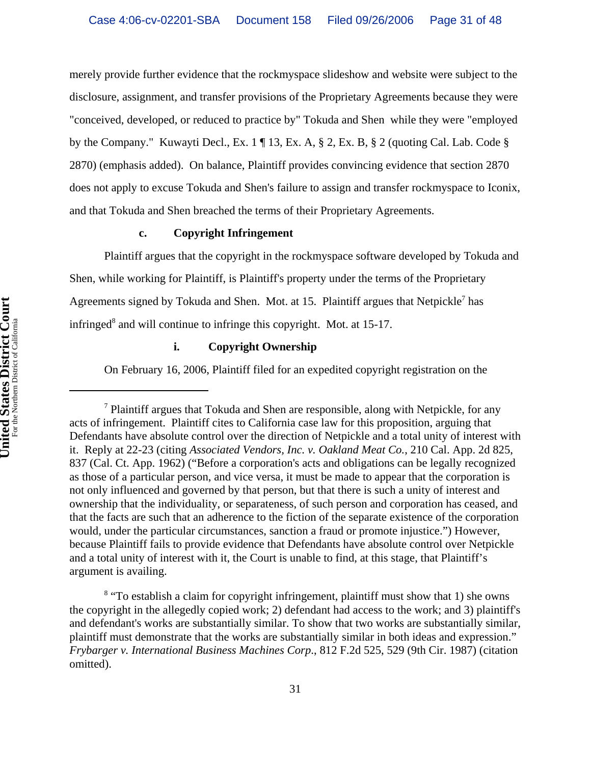merely provide further evidence that the rockmyspace slideshow and website were subject to the disclosure, assignment, and transfer provisions of the Proprietary Agreements because they were "conceived, developed, or reduced to practice by" Tokuda and Shen while they were "employed by the Company." Kuwayti Decl., Ex. 1 ¶ 13, Ex. A, § 2, Ex. B, § 2 (quoting Cal. Lab. Code § 2870) (emphasis added). On balance, Plaintiff provides convincing evidence that section 2870 does not apply to excuse Tokuda and Shen's failure to assign and transfer rockmyspace to Iconix, and that Tokuda and Shen breached the terms of their Proprietary Agreements.

## **c. Copyright Infringement**

Plaintiff argues that the copyright in the rockmyspace software developed by Tokuda and Shen, while working for Plaintiff, is Plaintiff's property under the terms of the Proprietary Agreements signed by Tokuda and Shen. Mot. at 15. Plaintiff argues that Netpickle<sup>7</sup> has infringed<sup>8</sup> and will continue to infringe this copyright. Mot. at 15-17.

# **i. Copyright Ownership**

On February 16, 2006, Plaintiff filed for an expedited copyright registration on the

<sup>&</sup>lt;sup>7</sup> Plaintiff argues that Tokuda and Shen are responsible, along with Netpickle, for any acts of infringement. Plaintiff cites to California case law for this proposition, arguing that Defendants have absolute control over the direction of Netpickle and a total unity of interest with it. Reply at 22-23 (citing *Associated Vendors, Inc. v. Oakland Meat Co.*, 210 Cal. App. 2d 825, 837 (Cal. Ct. App. 1962) ("Before a corporation's acts and obligations can be legally recognized as those of a particular person, and vice versa, it must be made to appear that the corporation is not only influenced and governed by that person, but that there is such a unity of interest and ownership that the individuality, or separateness, of such person and corporation has ceased, and that the facts are such that an adherence to the fiction of the separate existence of the corporation would, under the particular circumstances, sanction a fraud or promote injustice.") However, because Plaintiff fails to provide evidence that Defendants have absolute control over Netpickle and a total unity of interest with it, the Court is unable to find, at this stage, that Plaintiff's argument is availing.

<sup>&</sup>lt;sup>8</sup> "To establish a claim for copyright infringement, plaintiff must show that 1) she owns the copyright in the allegedly copied work; 2) defendant had access to the work; and 3) plaintiff's and defendant's works are substantially similar. To show that two works are substantially similar, plaintiff must demonstrate that the works are substantially similar in both ideas and expression." *Frybarger v. International Business Machines Corp*., 812 F.2d 525, 529 (9th Cir. 1987) (citation omitted).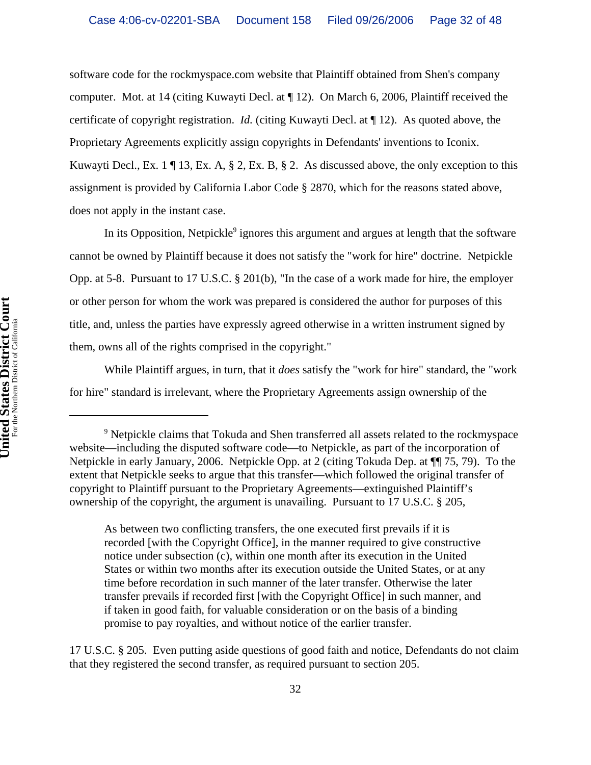software code for the rockmyspace.com website that Plaintiff obtained from Shen's company computer. Mot. at 14 (citing Kuwayti Decl. at ¶ 12). On March 6, 2006, Plaintiff received the certificate of copyright registration. *Id.* (citing Kuwayti Decl. at ¶ 12). As quoted above, the Proprietary Agreements explicitly assign copyrights in Defendants' inventions to Iconix. Kuwayti Decl., Ex. 1 ¶ 13, Ex. A, § 2, Ex. B, § 2. As discussed above, the only exception to this assignment is provided by California Labor Code § 2870, which for the reasons stated above, does not apply in the instant case.

In its Opposition, Netpickle<sup>9</sup> ignores this argument and argues at length that the software cannot be owned by Plaintiff because it does not satisfy the "work for hire" doctrine. Netpickle Opp. at 5-8. Pursuant to 17 U.S.C. § 201(b), "In the case of a work made for hire, the employer or other person for whom the work was prepared is considered the author for purposes of this title, and, unless the parties have expressly agreed otherwise in a written instrument signed by them, owns all of the rights comprised in the copyright."

While Plaintiff argues, in turn, that it *does* satisfy the "work for hire" standard, the "work for hire" standard is irrelevant, where the Proprietary Agreements assign ownership of the

As between two conflicting transfers, the one executed first prevails if it is recorded [with the Copyright Office], in the manner required to give constructive notice under subsection (c), within one month after its execution in the United States or within two months after its execution outside the United States, or at any time before recordation in such manner of the later transfer. Otherwise the later transfer prevails if recorded first [with the Copyright Office] in such manner, and if taken in good faith, for valuable consideration or on the basis of a binding promise to pay royalties, and without notice of the earlier transfer.

17 U.S.C. § 205. Even putting aside questions of good faith and notice, Defendants do not claim that they registered the second transfer, as required pursuant to section 205.

<sup>&</sup>lt;sup>9</sup> Netpickle claims that Tokuda and Shen transferred all assets related to the rockmyspace website—including the disputed software code—to Netpickle, as part of the incorporation of Netpickle in early January, 2006. Netpickle Opp. at 2 (citing Tokuda Dep. at ¶¶ 75, 79). To the extent that Netpickle seeks to argue that this transfer—which followed the original transfer of copyright to Plaintiff pursuant to the Proprietary Agreements—extinguished Plaintiff's ownership of the copyright, the argument is unavailing. Pursuant to 17 U.S.C. § 205,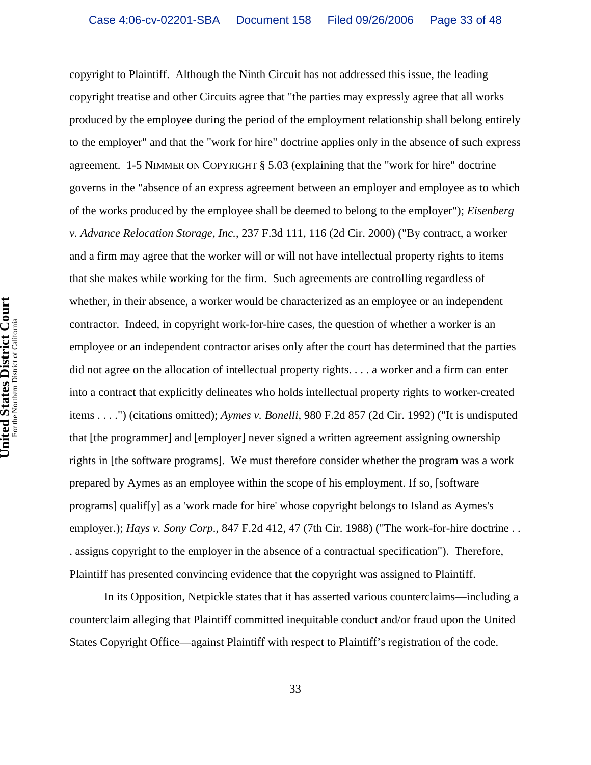copyright to Plaintiff. Although the Ninth Circuit has not addressed this issue, the leading copyright treatise and other Circuits agree that "the parties may expressly agree that all works produced by the employee during the period of the employment relationship shall belong entirely to the employer" and that the "work for hire" doctrine applies only in the absence of such express agreement. 1-5 NIMMER ON COPYRIGHT § 5.03 (explaining that the "work for hire" doctrine governs in the "absence of an express agreement between an employer and employee as to which of the works produced by the employee shall be deemed to belong to the employer"); *Eisenberg v. Advance Relocation Storage, Inc.*, 237 F.3d 111, 116 (2d Cir. 2000) ("By contract, a worker and a firm may agree that the worker will or will not have intellectual property rights to items that she makes while working for the firm. Such agreements are controlling regardless of whether, in their absence, a worker would be characterized as an employee or an independent contractor. Indeed, in copyright work-for-hire cases, the question of whether a worker is an employee or an independent contractor arises only after the court has determined that the parties did not agree on the allocation of intellectual property rights. . . . a worker and a firm can enter into a contract that explicitly delineates who holds intellectual property rights to worker-created items . . . .") (citations omitted); *Aymes v. Bonelli*, 980 F.2d 857 (2d Cir. 1992) ("It is undisputed that [the programmer] and [employer] never signed a written agreement assigning ownership rights in [the software programs]. We must therefore consider whether the program was a work prepared by Aymes as an employee within the scope of his employment. If so, [software programs] qualif[y] as a 'work made for hire' whose copyright belongs to Island as Aymes's employer.); *Hays v. Sony Corp.*, 847 F.2d 412, 47 (7th Cir. 1988) ("The work-for-hire doctrine . . . assigns copyright to the employer in the absence of a contractual specification"). Therefore, Plaintiff has presented convincing evidence that the copyright was assigned to Plaintiff.

In its Opposition, Netpickle states that it has asserted various counterclaims—including a counterclaim alleging that Plaintiff committed inequitable conduct and/or fraud upon the United States Copyright Office—against Plaintiff with respect to Plaintiff's registration of the code.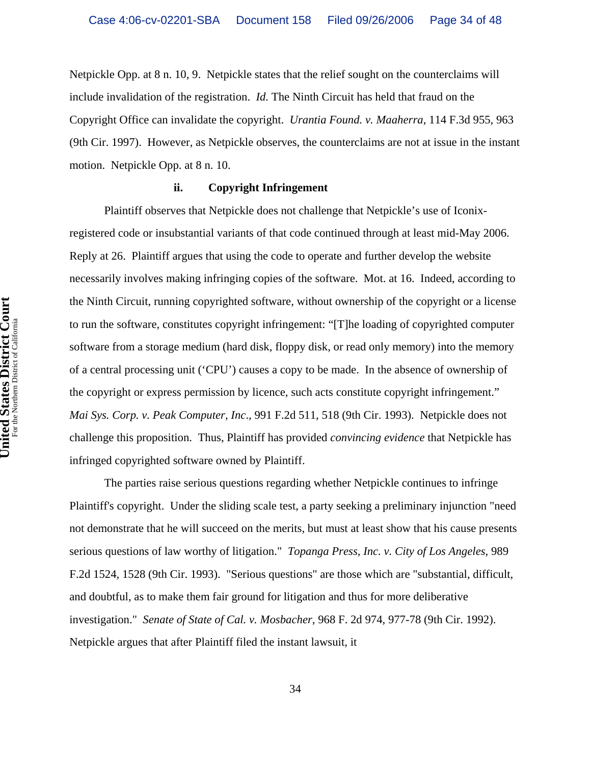Netpickle Opp. at 8 n. 10, 9. Netpickle states that the relief sought on the counterclaims will include invalidation of the registration. *Id.* The Ninth Circuit has held that fraud on the Copyright Office can invalidate the copyright. *Urantia Found. v. Maaherra*, 114 F.3d 955, 963 (9th Cir. 1997). However, as Netpickle observes, the counterclaims are not at issue in the instant motion. Netpickle Opp. at 8 n. 10.

## **ii. Copyright Infringement**

Plaintiff observes that Netpickle does not challenge that Netpickle's use of Iconixregistered code or insubstantial variants of that code continued through at least mid-May 2006. Reply at 26. Plaintiff argues that using the code to operate and further develop the website necessarily involves making infringing copies of the software. Mot. at 16. Indeed, according to the Ninth Circuit, running copyrighted software, without ownership of the copyright or a license to run the software, constitutes copyright infringement: "[T]he loading of copyrighted computer software from a storage medium (hard disk, floppy disk, or read only memory) into the memory of a central processing unit ('CPU') causes a copy to be made. In the absence of ownership of the copyright or express permission by licence, such acts constitute copyright infringement." *Mai Sys. Corp. v. Peak Computer, Inc*., 991 F.2d 511, 518 (9th Cir. 1993). Netpickle does not challenge this proposition. Thus, Plaintiff has provided *convincing evidence* that Netpickle has infringed copyrighted software owned by Plaintiff.

The parties raise serious questions regarding whether Netpickle continues to infringe Plaintiff's copyright. Under the sliding scale test, a party seeking a preliminary injunction "need not demonstrate that he will succeed on the merits, but must at least show that his cause presents serious questions of law worthy of litigation." *Topanga Press, Inc. v. City of Los Angeles*, 989 F.2d 1524, 1528 (9th Cir. 1993). "Serious questions" are those which are "substantial, difficult, and doubtful, as to make them fair ground for litigation and thus for more deliberative investigation." *Senate of State of Cal. v. Mosbacher*, 968 F. 2d 974, 977-78 (9th Cir. 1992). Netpickle argues that after Plaintiff filed the instant lawsuit, it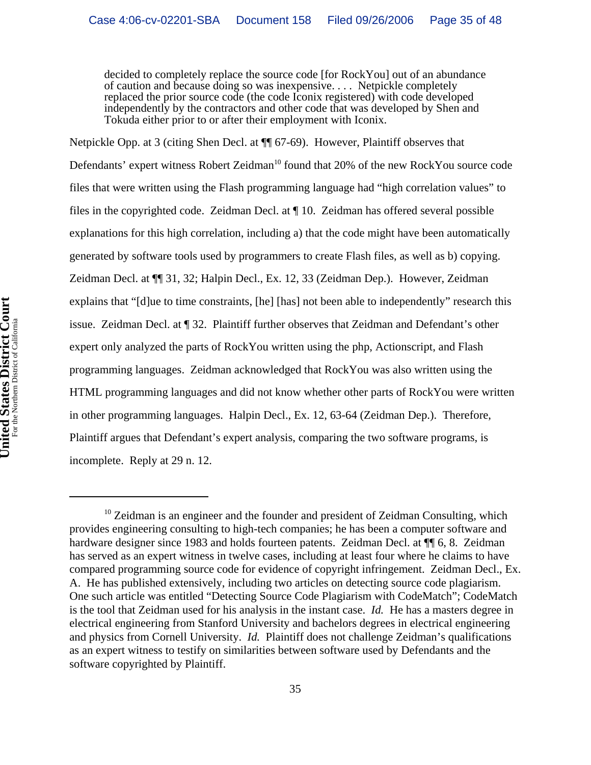decided to completely replace the source code [for RockYou] out of an abundance of caution and because doing so was inexpensive. . . . Netpickle completely replaced the prior source code (the code Iconix registered) with code developed independently by the contractors and other code that was developed by Shen and Tokuda either prior to or after their employment with Iconix.

Netpickle Opp. at 3 (citing Shen Decl. at ¶¶ 67-69). However, Plaintiff observes that Defendants' expert witness Robert Zeidman<sup>10</sup> found that 20% of the new RockYou source code files that were written using the Flash programming language had "high correlation values" to files in the copyrighted code. Zeidman Decl. at ¶ 10. Zeidman has offered several possible explanations for this high correlation, including a) that the code might have been automatically generated by software tools used by programmers to create Flash files, as well as b) copying. Zeidman Decl. at ¶¶ 31, 32; Halpin Decl., Ex. 12, 33 (Zeidman Dep.). However, Zeidman explains that "[d]ue to time constraints, [he] [has] not been able to independently" research this issue. Zeidman Decl. at ¶ 32. Plaintiff further observes that Zeidman and Defendant's other expert only analyzed the parts of RockYou written using the php, Actionscript, and Flash programming languages. Zeidman acknowledged that RockYou was also written using the HTML programming languages and did not know whether other parts of RockYou were written in other programming languages. Halpin Decl., Ex. 12, 63-64 (Zeidman Dep.). Therefore, Plaintiff argues that Defendant's expert analysis, comparing the two software programs, is incomplete. Reply at 29 n. 12.

 $10$  Zeidman is an engineer and the founder and president of Zeidman Consulting, which provides engineering consulting to high-tech companies; he has been a computer software and hardware designer since 1983 and holds fourteen patents. Zeidman Decl. at  $\P$  6, 8. Zeidman has served as an expert witness in twelve cases, including at least four where he claims to have compared programming source code for evidence of copyright infringement. Zeidman Decl., Ex. A. He has published extensively, including two articles on detecting source code plagiarism. One such article was entitled "Detecting Source Code Plagiarism with CodeMatch"; CodeMatch is the tool that Zeidman used for his analysis in the instant case. *Id.* He has a masters degree in electrical engineering from Stanford University and bachelors degrees in electrical engineering and physics from Cornell University. *Id.* Plaintiff does not challenge Zeidman's qualifications as an expert witness to testify on similarities between software used by Defendants and the software copyrighted by Plaintiff.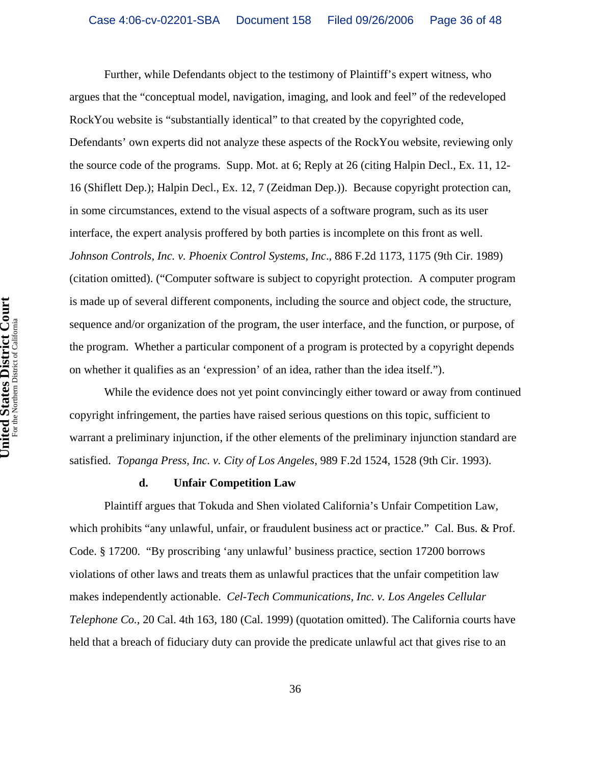Further, while Defendants object to the testimony of Plaintiff's expert witness, who argues that the "conceptual model, navigation, imaging, and look and feel" of the redeveloped RockYou website is "substantially identical" to that created by the copyrighted code, Defendants' own experts did not analyze these aspects of the RockYou website, reviewing only the source code of the programs. Supp. Mot. at 6; Reply at 26 (citing Halpin Decl., Ex. 11, 12- 16 (Shiflett Dep.); Halpin Decl., Ex. 12, 7 (Zeidman Dep.)). Because copyright protection can, in some circumstances, extend to the visual aspects of a software program, such as its user interface, the expert analysis proffered by both parties is incomplete on this front as well. *Johnson Controls, Inc. v. Phoenix Control Systems, Inc*., 886 F.2d 1173, 1175 (9th Cir. 1989) (citation omitted). ("Computer software is subject to copyright protection. A computer program is made up of several different components, including the source and object code, the structure, sequence and/or organization of the program, the user interface, and the function, or purpose, of the program. Whether a particular component of a program is protected by a copyright depends on whether it qualifies as an 'expression' of an idea, rather than the idea itself.").

While the evidence does not yet point convincingly either toward or away from continued copyright infringement, the parties have raised serious questions on this topic, sufficient to warrant a preliminary injunction, if the other elements of the preliminary injunction standard are satisfied. *Topanga Press, Inc. v. City of Los Angeles*, 989 F.2d 1524, 1528 (9th Cir. 1993).

#### **d. Unfair Competition Law**

Plaintiff argues that Tokuda and Shen violated California's Unfair Competition Law, which prohibits "any unlawful, unfair, or fraudulent business act or practice." Cal. Bus. & Prof. Code. § 17200. "By proscribing 'any unlawful' business practice, section 17200 borrows violations of other laws and treats them as unlawful practices that the unfair competition law makes independently actionable. *Cel-Tech Communications, Inc. v. Los Angeles Cellular Telephone Co.*, 20 Cal. 4th 163, 180 (Cal. 1999) (quotation omitted). The California courts have held that a breach of fiduciary duty can provide the predicate unlawful act that gives rise to an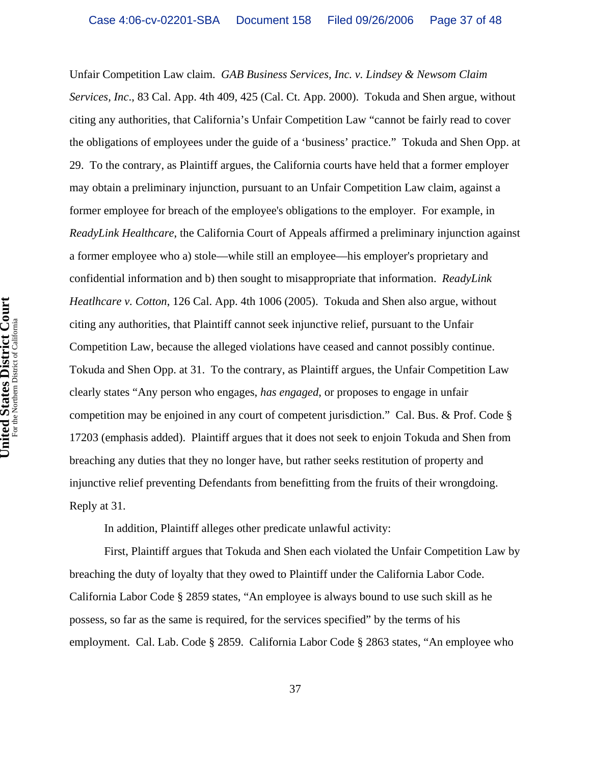Unfair Competition Law claim. *GAB Business Services, Inc. v. Lindsey & Newsom Claim Services, Inc*., 83 Cal. App. 4th 409, 425 (Cal. Ct. App. 2000). Tokuda and Shen argue, without citing any authorities, that California's Unfair Competition Law "cannot be fairly read to cover the obligations of employees under the guide of a 'business' practice." Tokuda and Shen Opp. at 29. To the contrary, as Plaintiff argues, the California courts have held that a former employer may obtain a preliminary injunction, pursuant to an Unfair Competition Law claim, against a former employee for breach of the employee's obligations to the employer. For example, in *ReadyLink Healthcare*, the California Court of Appeals affirmed a preliminary injunction against a former employee who a) stole—while still an employee—his employer's proprietary and confidential information and b) then sought to misappropriate that information. *ReadyLink Heatlhcare v. Cotton*, 126 Cal. App. 4th 1006 (2005). Tokuda and Shen also argue, without citing any authorities, that Plaintiff cannot seek injunctive relief, pursuant to the Unfair Competition Law, because the alleged violations have ceased and cannot possibly continue. Tokuda and Shen Opp. at 31. To the contrary, as Plaintiff argues, the Unfair Competition Law clearly states "Any person who engages, *has engaged*, or proposes to engage in unfair competition may be enjoined in any court of competent jurisdiction." Cal. Bus. & Prof. Code § 17203 (emphasis added). Plaintiff argues that it does not seek to enjoin Tokuda and Shen from breaching any duties that they no longer have, but rather seeks restitution of property and injunctive relief preventing Defendants from benefitting from the fruits of their wrongdoing. Reply at 31.

In addition, Plaintiff alleges other predicate unlawful activity:

First, Plaintiff argues that Tokuda and Shen each violated the Unfair Competition Law by breaching the duty of loyalty that they owed to Plaintiff under the California Labor Code. California Labor Code § 2859 states, "An employee is always bound to use such skill as he possess, so far as the same is required, for the services specified" by the terms of his employment. Cal. Lab. Code § 2859. California Labor Code § 2863 states, "An employee who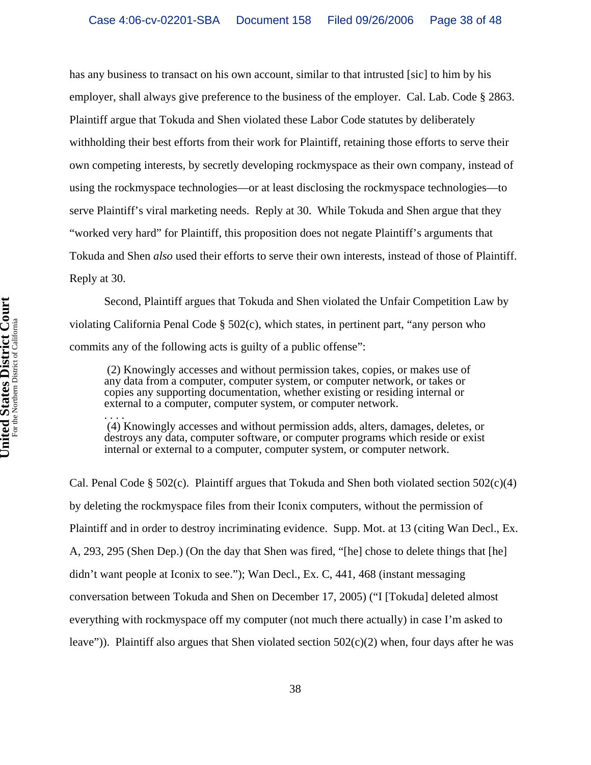has any business to transact on his own account, similar to that intrusted [sic] to him by his employer, shall always give preference to the business of the employer. Cal. Lab. Code § 2863. Plaintiff argue that Tokuda and Shen violated these Labor Code statutes by deliberately withholding their best efforts from their work for Plaintiff, retaining those efforts to serve their own competing interests, by secretly developing rockmyspace as their own company, instead of using the rockmyspace technologies—or at least disclosing the rockmyspace technologies—to serve Plaintiff's viral marketing needs. Reply at 30. While Tokuda and Shen argue that they "worked very hard" for Plaintiff, this proposition does not negate Plaintiff's arguments that Tokuda and Shen *also* used their efforts to serve their own interests, instead of those of Plaintiff. Reply at 30.

Second, Plaintiff argues that Tokuda and Shen violated the Unfair Competition Law by violating California Penal Code § 502(c), which states, in pertinent part, "any person who commits any of the following acts is guilty of a public offense":

 (2) Knowingly accesses and without permission takes, copies, or makes use of any data from a computer, computer system, or computer network, or takes or copies any supporting documentation, whether existing or residing internal or external to a computer, computer system, or computer network.

. . . . (4) Knowingly accesses and without permission adds, alters, damages, deletes, or destroys any data, computer software, or computer programs which reside or exist internal or external to a computer, computer system, or computer network.

Cal. Penal Code § 502(c). Plaintiff argues that Tokuda and Shen both violated section 502(c)(4) by deleting the rockmyspace files from their Iconix computers, without the permission of Plaintiff and in order to destroy incriminating evidence. Supp. Mot. at 13 (citing Wan Decl., Ex. A, 293, 295 (Shen Dep.) (On the day that Shen was fired, "[he] chose to delete things that [he] didn't want people at Iconix to see."); Wan Decl., Ex. C, 441, 468 (instant messaging conversation between Tokuda and Shen on December 17, 2005) ("I [Tokuda] deleted almost everything with rockmyspace off my computer (not much there actually) in case I'm asked to leave")). Plaintiff also argues that Shen violated section  $502(c)(2)$  when, four days after he was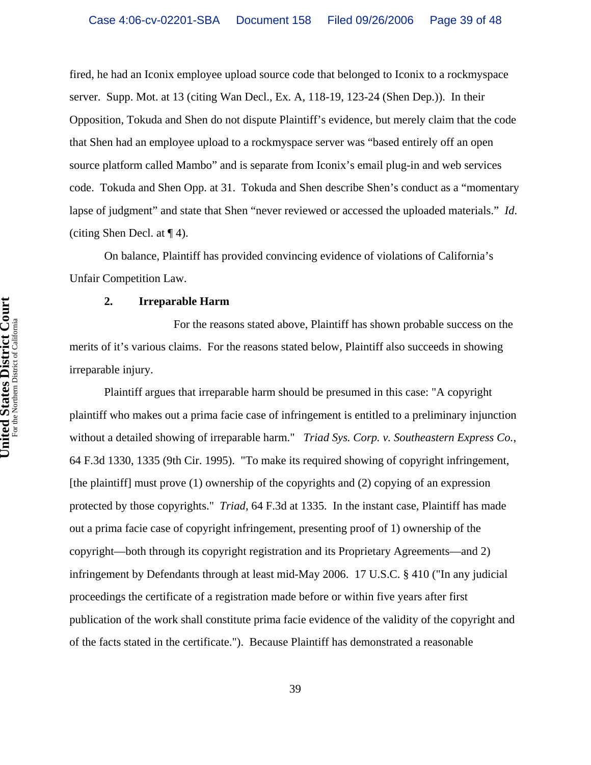fired, he had an Iconix employee upload source code that belonged to Iconix to a rockmyspace server. Supp. Mot. at 13 (citing Wan Decl., Ex. A, 118-19, 123-24 (Shen Dep.)). In their Opposition, Tokuda and Shen do not dispute Plaintiff's evidence, but merely claim that the code that Shen had an employee upload to a rockmyspace server was "based entirely off an open source platform called Mambo" and is separate from Iconix's email plug-in and web services code. Tokuda and Shen Opp. at 31. Tokuda and Shen describe Shen's conduct as a "momentary lapse of judgment" and state that Shen "never reviewed or accessed the uploaded materials." *Id*. (citing Shen Decl. at ¶ 4).

On balance, Plaintiff has provided convincing evidence of violations of California's Unfair Competition Law.

#### **2. Irreparable Harm**

For the reasons stated above, Plaintiff has shown probable success on the merits of it's various claims. For the reasons stated below, Plaintiff also succeeds in showing irreparable injury.

Plaintiff argues that irreparable harm should be presumed in this case: "A copyright plaintiff who makes out a prima facie case of infringement is entitled to a preliminary injunction without a detailed showing of irreparable harm." *Triad Sys. Corp. v. Southeastern Express Co.*, 64 F.3d 1330, 1335 (9th Cir. 1995). "To make its required showing of copyright infringement, [the plaintiff] must prove (1) ownership of the copyrights and (2) copying of an expression protected by those copyrights." *Triad*, 64 F.3d at 1335. In the instant case, Plaintiff has made out a prima facie case of copyright infringement, presenting proof of 1) ownership of the copyright—both through its copyright registration and its Proprietary Agreements—and 2) infringement by Defendants through at least mid-May 2006. 17 U.S.C. § 410 ("In any judicial proceedings the certificate of a registration made before or within five years after first publication of the work shall constitute prima facie evidence of the validity of the copyright and of the facts stated in the certificate."). Because Plaintiff has demonstrated a reasonable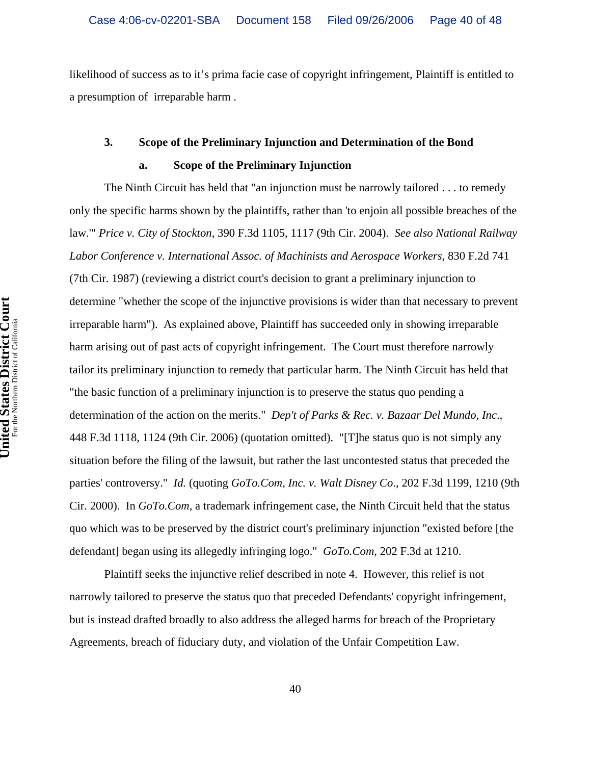likelihood of success as to it's prima facie case of copyright infringement, Plaintiff is entitled to a presumption of irreparable harm .

# **3. Scope of the Preliminary Injunction and Determination of the Bond a. Scope of the Preliminary Injunction**

The Ninth Circuit has held that "an injunction must be narrowly tailored . . . to remedy only the specific harms shown by the plaintiffs, rather than 'to enjoin all possible breaches of the law.'" *Price v. City of Stockton*, 390 F.3d 1105, 1117 (9th Cir. 2004). *See also National Railway Labor Conference v. International Assoc. of Machinists and Aerospace Workers*, 830 F.2d 741 (7th Cir. 1987) (reviewing a district court's decision to grant a preliminary injunction to determine "whether the scope of the injunctive provisions is wider than that necessary to prevent irreparable harm"). As explained above, Plaintiff has succeeded only in showing irreparable harm arising out of past acts of copyright infringement. The Court must therefore narrowly tailor its preliminary injunction to remedy that particular harm. The Ninth Circuit has held that "the basic function of a preliminary injunction is to preserve the status quo pending a determination of the action on the merits." *Dep't of Parks & Rec. v. Bazaar Del Mundo, Inc*., 448 F.3d 1118, 1124 (9th Cir. 2006) (quotation omitted). "[T]he status quo is not simply any situation before the filing of the lawsuit, but rather the last uncontested status that preceded the parties' controversy." *Id.* (quoting *GoTo.Com, Inc. v. Walt Disney Co*., 202 F.3d 1199, 1210 (9th Cir. 2000). In *GoTo.Com*, a trademark infringement case, the Ninth Circuit held that the status quo which was to be preserved by the district court's preliminary injunction "existed before [the defendant] began using its allegedly infringing logo." *GoTo.Com*, 202 F.3d at 1210.

Plaintiff seeks the injunctive relief described in note 4. However, this relief is not narrowly tailored to preserve the status quo that preceded Defendants' copyright infringement, but is instead drafted broadly to also address the alleged harms for breach of the Proprietary Agreements, breach of fiduciary duty, and violation of the Unfair Competition Law.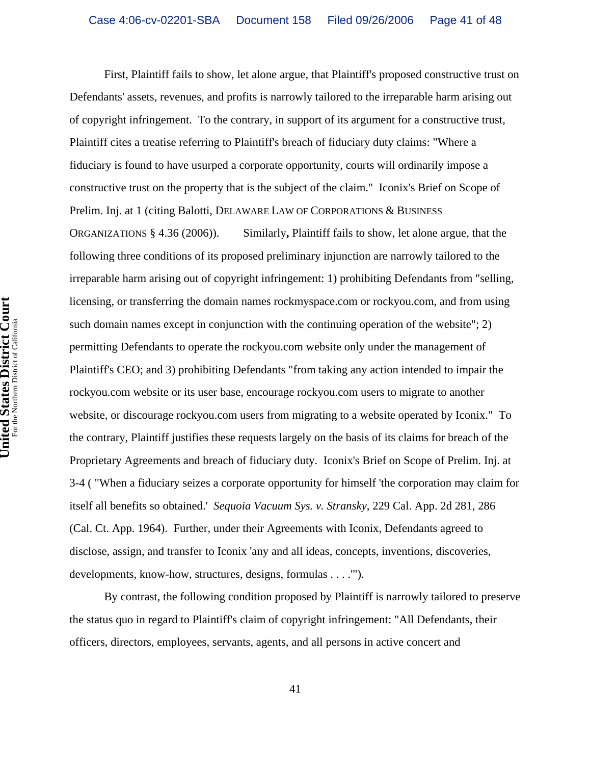First, Plaintiff fails to show, let alone argue, that Plaintiff's proposed constructive trust on Defendants' assets, revenues, and profits is narrowly tailored to the irreparable harm arising out of copyright infringement. To the contrary, in support of its argument for a constructive trust, Plaintiff cites a treatise referring to Plaintiff's breach of fiduciary duty claims: "Where a fiduciary is found to have usurped a corporate opportunity, courts will ordinarily impose a constructive trust on the property that is the subject of the claim." Iconix's Brief on Scope of Prelim. Inj. at 1 (citing Balotti, DELAWARE LAW OF CORPORATIONS & BUSINESS ORGANIZATIONS § 4.36 (2006)). Similarly**,** Plaintiff fails to show, let alone argue, that the following three conditions of its proposed preliminary injunction are narrowly tailored to the irreparable harm arising out of copyright infringement: 1) prohibiting Defendants from "selling, licensing, or transferring the domain names rockmyspace.com or rockyou.com, and from using such domain names except in conjunction with the continuing operation of the website"; 2) permitting Defendants to operate the rockyou.com website only under the management of Plaintiff's CEO; and 3) prohibiting Defendants "from taking any action intended to impair the rockyou.com website or its user base, encourage rockyou.com users to migrate to another website, or discourage rockyou.com users from migrating to a website operated by Iconix." To the contrary, Plaintiff justifies these requests largely on the basis of its claims for breach of the Proprietary Agreements and breach of fiduciary duty. Iconix's Brief on Scope of Prelim. Inj. at 3-4 ( "When a fiduciary seizes a corporate opportunity for himself 'the corporation may claim for itself all benefits so obtained.' *Sequoia Vacuum Sys. v. Stransky*, 229 Cal. App. 2d 281, 286 (Cal. Ct. App. 1964). Further, under their Agreements with Iconix, Defendants agreed to disclose, assign, and transfer to Iconix 'any and all ideas, concepts, inventions, discoveries, developments, know-how, structures, designs, formulas . . . .'").

By contrast, the following condition proposed by Plaintiff is narrowly tailored to preserve the status quo in regard to Plaintiff's claim of copyright infringement: "All Defendants, their officers, directors, employees, servants, agents, and all persons in active concert and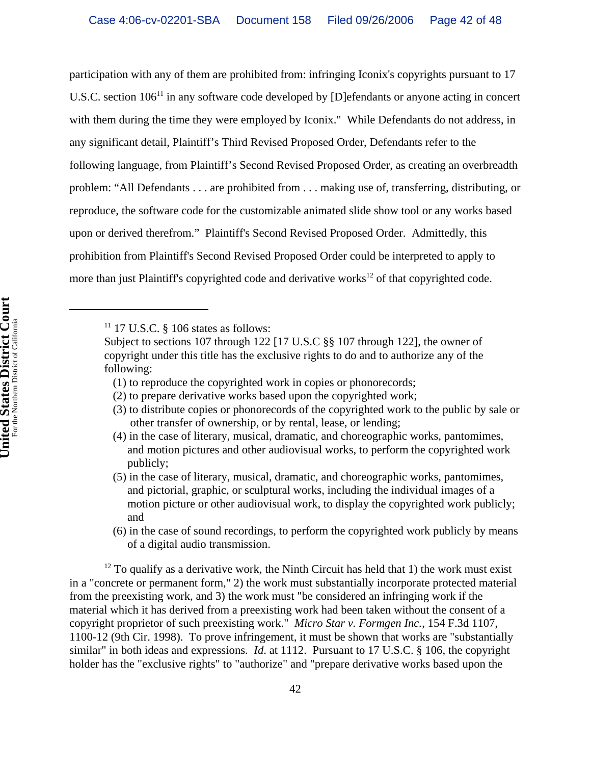participation with any of them are prohibited from: infringing Iconix's copyrights pursuant to 17 U.S.C. section 106<sup>11</sup> in any software code developed by [D]efendants or anyone acting in concert with them during the time they were employed by Iconix." While Defendants do not address, in any significant detail, Plaintiff's Third Revised Proposed Order, Defendants refer to the following language, from Plaintiff's Second Revised Proposed Order, as creating an overbreadth problem: "All Defendants . . . are prohibited from . . . making use of, transferring, distributing, or reproduce, the software code for the customizable animated slide show tool or any works based upon or derived therefrom." Plaintiff's Second Revised Proposed Order. Admittedly, this prohibition from Plaintiff's Second Revised Proposed Order could be interpreted to apply to more than just Plaintiff's copyrighted code and derivative works<sup>12</sup> of that copyrighted code.

 $11$  17 U.S.C. § 106 states as follows:

Subject to sections 107 through 122 [17 U.S.C §§ 107 through 122], the owner of copyright under this title has the exclusive rights to do and to authorize any of the following:

 <sup>(1)</sup> to reproduce the copyrighted work in copies or phonorecords;

 <sup>(2)</sup> to prepare derivative works based upon the copyrighted work;

 <sup>(3)</sup> to distribute copies or phonorecords of the copyrighted work to the public by sale or other transfer of ownership, or by rental, lease, or lending;

 <sup>(4)</sup> in the case of literary, musical, dramatic, and choreographic works, pantomimes, and motion pictures and other audiovisual works, to perform the copyrighted work publicly;

 <sup>(5)</sup> in the case of literary, musical, dramatic, and choreographic works, pantomimes, and pictorial, graphic, or sculptural works, including the individual images of a motion picture or other audiovisual work, to display the copyrighted work publicly; and

 <sup>(6)</sup> in the case of sound recordings, to perform the copyrighted work publicly by means of a digital audio transmission.

 $12$  To qualify as a derivative work, the Ninth Circuit has held that 1) the work must exist in a "concrete or permanent form," 2) the work must substantially incorporate protected material from the preexisting work, and 3) the work must "be considered an infringing work if the material which it has derived from a preexisting work had been taken without the consent of a copyright proprietor of such preexisting work." *Micro Star v. Formgen Inc.*, 154 F.3d 1107, 1100-12 (9th Cir. 1998). To prove infringement, it must be shown that works are "substantially similar" in both ideas and expressions. *Id*. at 1112. Pursuant to 17 U.S.C. § 106, the copyright holder has the "exclusive rights" to "authorize" and "prepare derivative works based upon the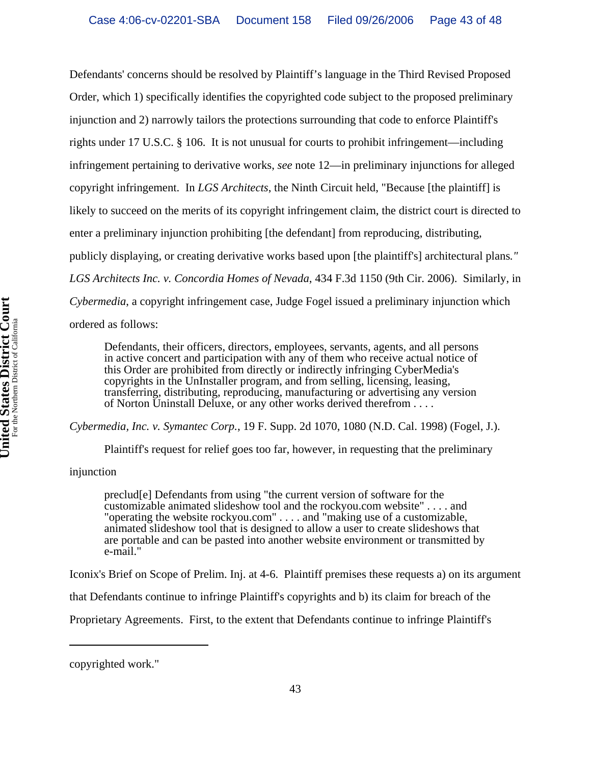Defendants' concerns should be resolved by Plaintiff's language in the Third Revised Proposed Order, which 1) specifically identifies the copyrighted code subject to the proposed preliminary injunction and 2) narrowly tailors the protections surrounding that code to enforce Plaintiff's rights under 17 U.S.C. § 106. It is not unusual for courts to prohibit infringement—including infringement pertaining to derivative works, *see* note 12—in preliminary injunctions for alleged copyright infringement. In *LGS Architects*, the Ninth Circuit held, "Because [the plaintiff] is likely to succeed on the merits of its copyright infringement claim, the district court is directed to enter a preliminary injunction prohibiting [the defendant] from reproducing, distributing, publicly displaying, or creating derivative works based upon [the plaintiff's] architectural plans*." LGS Architects Inc. v. Concordia Homes of Nevada*, 434 F.3d 1150 (9th Cir. 2006). Similarly, in *Cybermedia*, a copyright infringement case, Judge Fogel issued a preliminary injunction which ordered as follows:

Defendants, their officers, directors, employees, servants, agents, and all persons in active concert and participation with any of them who receive actual notice of this Order are prohibited from directly or indirectly infringing CyberMedia's copyrights in the UnInstaller program, and from selling, licensing, leasing, transferring, distributing, reproducing, manufacturing or advertising any version of Norton Uninstall Deluxe, or any other works derived therefrom . . . .

*Cybermedia, Inc. v. Symantec Corp.*, 19 F. Supp. 2d 1070, 1080 (N.D. Cal. 1998) (Fogel, J.).

Plaintiff's request for relief goes too far, however, in requesting that the preliminary

## injunction

preclud[e] Defendants from using "the current version of software for the customizable animated slideshow tool and the rockyou.com website" . . . . and "operating the website rockyou.com" . . . . and "making use of a customizable, animated slideshow tool that is designed to allow a user to create slideshows that are portable and can be pasted into another website environment or transmitted by e-mail."

Iconix's Brief on Scope of Prelim. Inj. at 4-6. Plaintiff premises these requests a) on its argument

that Defendants continue to infringe Plaintiff's copyrights and b) its claim for breach of the

Proprietary Agreements. First, to the extent that Defendants continue to infringe Plaintiff's

copyrighted work."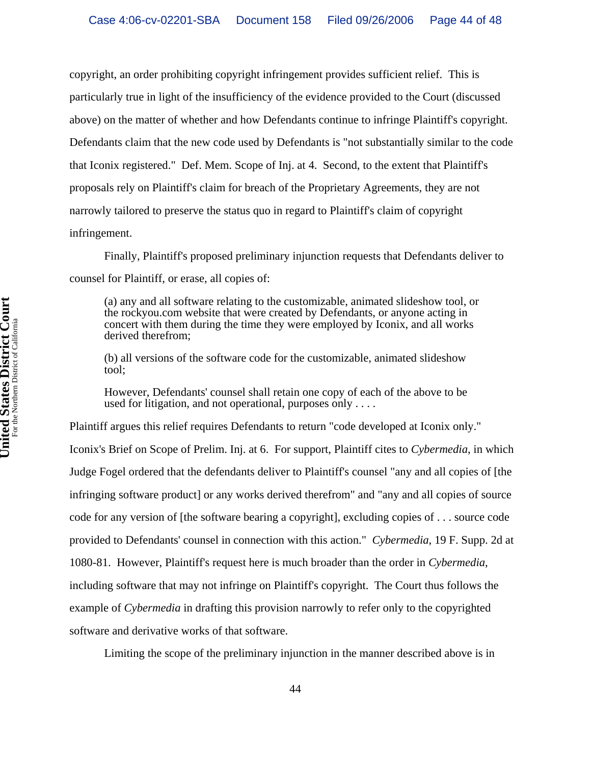copyright, an order prohibiting copyright infringement provides sufficient relief. This is particularly true in light of the insufficiency of the evidence provided to the Court (discussed above) on the matter of whether and how Defendants continue to infringe Plaintiff's copyright. Defendants claim that the new code used by Defendants is "not substantially similar to the code that Iconix registered." Def. Mem. Scope of Inj. at 4. Second, to the extent that Plaintiff's proposals rely on Plaintiff's claim for breach of the Proprietary Agreements, they are not narrowly tailored to preserve the status quo in regard to Plaintiff's claim of copyright infringement.

Finally, Plaintiff's proposed preliminary injunction requests that Defendants deliver to counsel for Plaintiff, or erase, all copies of:

(a) any and all software relating to the customizable, animated slideshow tool, or the rockyou.com website that were created by Defendants, or anyone acting in concert with them during the time they were employed by Iconix, and all works derived therefrom;

(b) all versions of the software code for the customizable, animated slideshow tool;

However, Defendants' counsel shall retain one copy of each of the above to be used for litigation, and not operational, purposes only . . . .

Plaintiff argues this relief requires Defendants to return "code developed at Iconix only." Iconix's Brief on Scope of Prelim. Inj. at 6. For support, Plaintiff cites to *Cybermedia*, in which Judge Fogel ordered that the defendants deliver to Plaintiff's counsel "any and all copies of [the infringing software product] or any works derived therefrom" and "any and all copies of source code for any version of [the software bearing a copyright], excluding copies of . . . source code provided to Defendants' counsel in connection with this action." *Cybermedia*, 19 F. Supp. 2d at 1080-81. However, Plaintiff's request here is much broader than the order in *Cybermedia*, including software that may not infringe on Plaintiff's copyright. The Court thus follows the example of *Cybermedia* in drafting this provision narrowly to refer only to the copyrighted software and derivative works of that software.

Limiting the scope of the preliminary injunction in the manner described above is in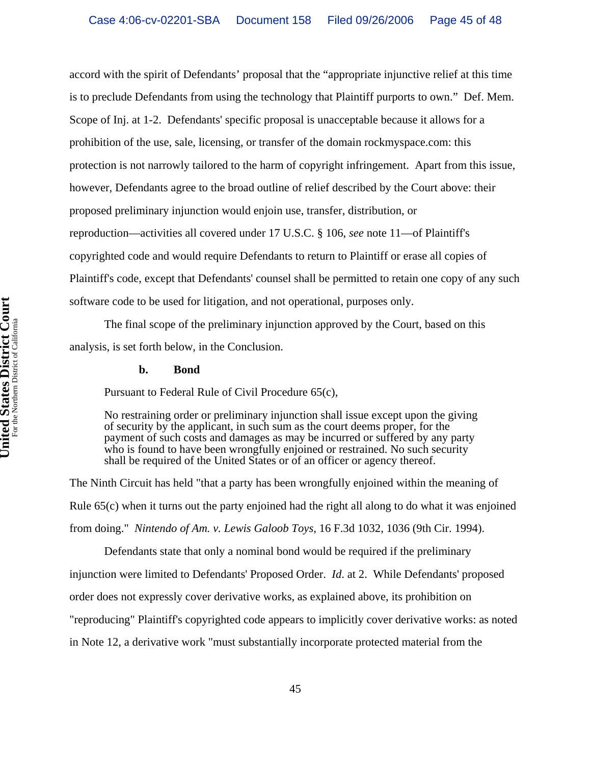accord with the spirit of Defendants' proposal that the "appropriate injunctive relief at this time is to preclude Defendants from using the technology that Plaintiff purports to own." Def. Mem. Scope of Inj. at 1-2. Defendants' specific proposal is unacceptable because it allows for a prohibition of the use, sale, licensing, or transfer of the domain rockmyspace.com: this protection is not narrowly tailored to the harm of copyright infringement. Apart from this issue, however, Defendants agree to the broad outline of relief described by the Court above: their proposed preliminary injunction would enjoin use, transfer, distribution, or reproduction—activities all covered under 17 U.S.C. § 106, *see* note 11—of Plaintiff's copyrighted code and would require Defendants to return to Plaintiff or erase all copies of Plaintiff's code, except that Defendants' counsel shall be permitted to retain one copy of any such software code to be used for litigation, and not operational, purposes only.

The final scope of the preliminary injunction approved by the Court, based on this analysis, is set forth below, in the Conclusion.

#### **b. Bond**

Pursuant to Federal Rule of Civil Procedure 65(c),

No restraining order or preliminary injunction shall issue except upon the giving of security by the applicant, in such sum as the court deems proper, for the payment of such costs and damages as may be incurred or suffered by any party who is found to have been wrongfully enjoined or restrained. No such security shall be required of the United States or of an officer or agency thereof.

The Ninth Circuit has held "that a party has been wrongfully enjoined within the meaning of Rule 65(c) when it turns out the party enjoined had the right all along to do what it was enjoined from doing." *Nintendo of Am. v. Lewis Galoob Toys*, 16 F.3d 1032, 1036 (9th Cir. 1994).

Defendants state that only a nominal bond would be required if the preliminary

injunction were limited to Defendants' Proposed Order. *Id*. at 2. While Defendants' proposed

order does not expressly cover derivative works, as explained above, its prohibition on

"reproducing" Plaintiff's copyrighted code appears to implicitly cover derivative works: as noted

in Note 12, a derivative work "must substantially incorporate protected material from the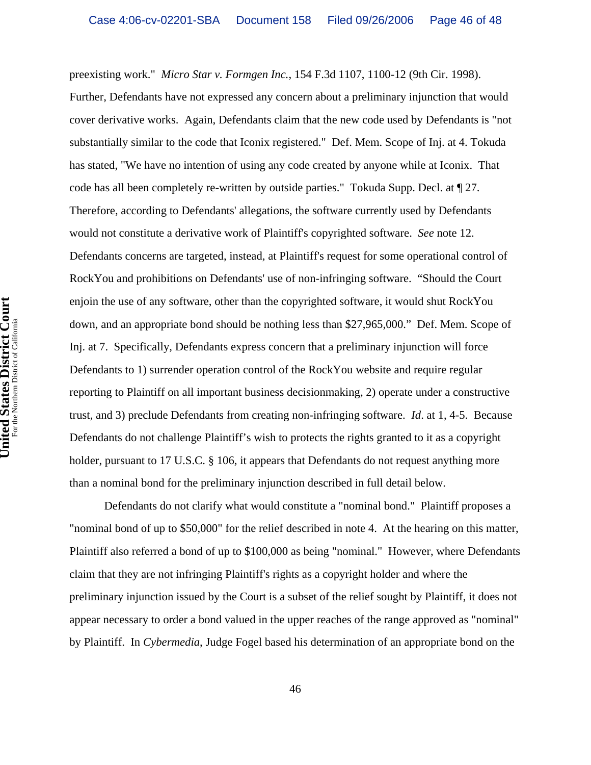preexisting work." *Micro Star v. Formgen Inc.*, 154 F.3d 1107, 1100-12 (9th Cir. 1998). Further, Defendants have not expressed any concern about a preliminary injunction that would cover derivative works. Again, Defendants claim that the new code used by Defendants is "not substantially similar to the code that Iconix registered." Def. Mem. Scope of Inj. at 4. Tokuda has stated, "We have no intention of using any code created by anyone while at Iconix. That code has all been completely re-written by outside parties." Tokuda Supp. Decl. at ¶ 27. Therefore, according to Defendants' allegations, the software currently used by Defendants would not constitute a derivative work of Plaintiff's copyrighted software. *See* note 12. Defendants concerns are targeted, instead, at Plaintiff's request for some operational control of RockYou and prohibitions on Defendants' use of non-infringing software. "Should the Court enjoin the use of any software, other than the copyrighted software, it would shut RockYou down, and an appropriate bond should be nothing less than \$27,965,000." Def. Mem. Scope of Inj. at 7. Specifically, Defendants express concern that a preliminary injunction will force Defendants to 1) surrender operation control of the RockYou website and require regular reporting to Plaintiff on all important business decisionmaking, 2) operate under a constructive trust, and 3) preclude Defendants from creating non-infringing software. *Id*. at 1, 4-5. Because Defendants do not challenge Plaintiff's wish to protects the rights granted to it as a copyright holder, pursuant to 17 U.S.C. § 106, it appears that Defendants do not request anything more than a nominal bond for the preliminary injunction described in full detail below.

Defendants do not clarify what would constitute a "nominal bond." Plaintiff proposes a "nominal bond of up to \$50,000" for the relief described in note 4. At the hearing on this matter, Plaintiff also referred a bond of up to \$100,000 as being "nominal." However, where Defendants claim that they are not infringing Plaintiff's rights as a copyright holder and where the preliminary injunction issued by the Court is a subset of the relief sought by Plaintiff, it does not appear necessary to order a bond valued in the upper reaches of the range approved as "nominal" by Plaintiff. In *Cybermedia*, Judge Fogel based his determination of an appropriate bond on the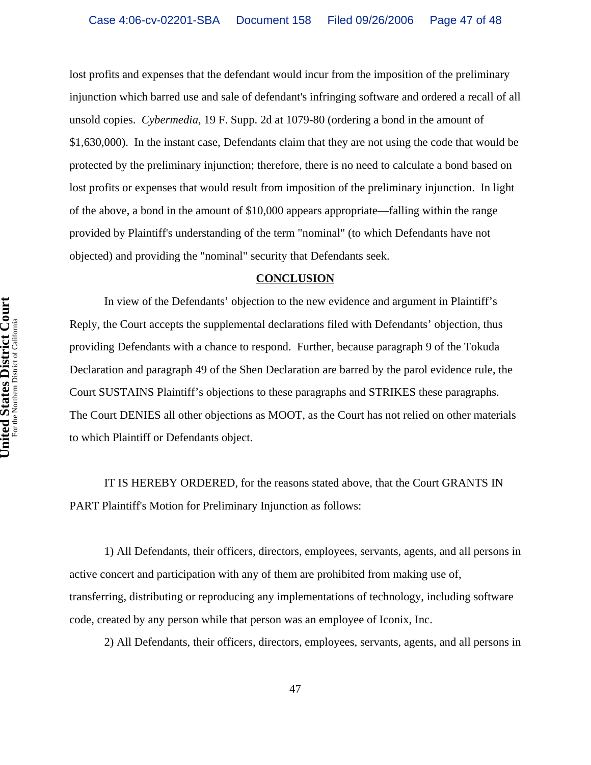lost profits and expenses that the defendant would incur from the imposition of the preliminary injunction which barred use and sale of defendant's infringing software and ordered a recall of all unsold copies. *Cybermedia*, 19 F. Supp. 2d at 1079-80 (ordering a bond in the amount of \$1,630,000). In the instant case, Defendants claim that they are not using the code that would be protected by the preliminary injunction; therefore, there is no need to calculate a bond based on lost profits or expenses that would result from imposition of the preliminary injunction. In light of the above, a bond in the amount of \$10,000 appears appropriate—falling within the range provided by Plaintiff's understanding of the term "nominal" (to which Defendants have not objected) and providing the "nominal" security that Defendants seek.

#### **CONCLUSION**

In view of the Defendants' objection to the new evidence and argument in Plaintiff's Reply, the Court accepts the supplemental declarations filed with Defendants' objection, thus providing Defendants with a chance to respond. Further, because paragraph 9 of the Tokuda Declaration and paragraph 49 of the Shen Declaration are barred by the parol evidence rule, the Court SUSTAINS Plaintiff's objections to these paragraphs and STRIKES these paragraphs. The Court DENIES all other objections as MOOT, as the Court has not relied on other materials to which Plaintiff or Defendants object.

IT IS HEREBY ORDERED, for the reasons stated above, that the Court GRANTS IN PART Plaintiff's Motion for Preliminary Injunction as follows:

1) All Defendants, their officers, directors, employees, servants, agents, and all persons in active concert and participation with any of them are prohibited from making use of, transferring, distributing or reproducing any implementations of technology, including software code, created by any person while that person was an employee of Iconix, Inc.

2) All Defendants, their officers, directors, employees, servants, agents, and all persons in